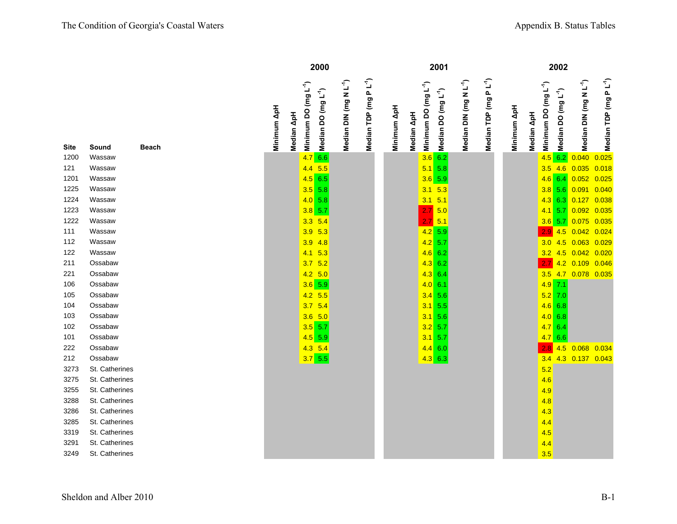|      |                |              |             |            | 2000                                                                |                                    |                                   |             |                                                | 2001                                                                                                 |                                    |                                    |             |            |                                  | 2002                            |                                    |                                    |
|------|----------------|--------------|-------------|------------|---------------------------------------------------------------------|------------------------------------|-----------------------------------|-------------|------------------------------------------------|------------------------------------------------------------------------------------------------------|------------------------------------|------------------------------------|-------------|------------|----------------------------------|---------------------------------|------------------------------------|------------------------------------|
| Site | Sound          | <b>Beach</b> | Minimum ApH | Median ApH | Minimum DO (mg L <sup>-1</sup> )<br>Median DO (mg L <sup>-1</sup> ) | Median DIN (mg N L <sup>-1</sup> ) | Median TDP (mg PL <sup>-1</sup> ) | Minimum ApH | Minimum DO (mg L <sup>-1</sup> )<br>Median ApH | <mark>ິລິ</mark> Minimum DO (mg L <sup>-1</sup> )<br><mark>ຄື</mark> Median DO (mg L <sup>-1</sup> ) | Median DIN (mg N L <sup>-1</sup> ) | Median TDP (mg P L <sup>-1</sup> ) | Minimum ApH | Median ApH | Minimum DO (mg L <sup>-1</sup> ) | Median DO (mg L <sup>-1</sup> ) | Median DIN (mg N L <sup>-1</sup> ) | Median TDP (mg P L <sup>-1</sup> ) |
| 1200 | Wassaw         |              |             |            | 4.766                                                               |                                    |                                   |             |                                                |                                                                                                      |                                    |                                    |             |            | $4.5$ 6.2                        |                                 | 0.040                              | 0.025                              |
| 121  | Wassaw         |              |             |            | $4.4$ 5.5                                                           |                                    |                                   |             |                                                | $5.1\ 5.8$                                                                                           |                                    |                                    |             |            | $3.5$ 4.6                        |                                 | 0.035                              | 0.018                              |
| 1201 | Wassaw         |              |             |            | $4.5$ 6.5                                                           |                                    |                                   |             |                                                | $3.6$ 5.9                                                                                            |                                    |                                    |             |            | $4.6$ 6.4                        |                                 | 0.052                              | 0.025                              |
| 1225 | Wassaw         |              |             |            | $3.5$ 5.8                                                           |                                    |                                   |             | 3.1                                            | 5.3                                                                                                  |                                    |                                    |             |            | $3.8$ 5.6                        |                                 | 0.091                              | 0.040                              |
| 1224 | Wassaw         |              |             |            | 4.0 5.8                                                             |                                    |                                   |             | 3.1                                            | 5.1                                                                                                  |                                    |                                    |             |            | $4.3$ 6.3                        |                                 | 0.127                              | 0.038                              |
| 1223 | Wassaw         |              |             |            | $3.8$ 5.7                                                           |                                    |                                   |             |                                                | $2.7\,$ 5.0                                                                                          |                                    |                                    |             |            | $4.1 \t 5.7$                     |                                 | 0.092                              | 0.035                              |
| 1222 | Wassaw         |              |             |            | $3.3$ 5.4                                                           |                                    |                                   |             |                                                | $2.7\,$ 5.1                                                                                          |                                    |                                    |             |            | $3.6$ 5.7                        |                                 | 0.075                              | 0.035                              |
| 111  | Wassaw         |              |             |            | 5.3<br>3.9                                                          |                                    |                                   |             |                                                | $4.2$ 5.9                                                                                            |                                    |                                    |             |            | 2.9 <sub>2</sub>                 | 4.5                             | 0.042                              | 0.024                              |
| 112  | Wassaw         |              |             |            | 3.9<br>4.8                                                          |                                    |                                   |             |                                                | $4.2$ 5.7                                                                                            |                                    |                                    |             |            | 3.0                              | 4.5                             | 0.063                              | 0.029                              |
| 122  | Wassaw         |              |             |            | 5.3<br>4.1                                                          |                                    |                                   |             |                                                | $4.6$ 6.2                                                                                            |                                    |                                    |             |            | 3.2                              |                                 | 4.5 0.042                          | 0.020                              |
| 211  | Ossabaw        |              |             |            | 5.2<br>3.7                                                          |                                    |                                   |             |                                                | $4.3$ 6.2                                                                                            |                                    |                                    |             |            | 2.7                              |                                 | 4.2 0.109                          | 0.046                              |
| 221  | Ossabaw        |              |             |            | $4.2$ 5.0                                                           |                                    |                                   |             |                                                | $4.3 \ 6.4$                                                                                          |                                    |                                    |             |            | $3.5$ 4.7                        |                                 | 0.078 0.035                        |                                    |
| 106  | Ossabaw        |              |             |            | $3.6$ 5.9                                                           |                                    |                                   |             |                                                | 4.0 6.1                                                                                              |                                    |                                    |             |            | $4.9$ 7.1                        |                                 |                                    |                                    |
| 105  | Ossabaw        |              |             |            | $4.2$ 5.5                                                           |                                    |                                   |             |                                                | $3.4$ 5.6                                                                                            |                                    |                                    |             |            | $5.2$ 7.0                        |                                 |                                    |                                    |
| 104  | Ossabaw        |              |             |            | 5.4<br>3.7                                                          |                                    |                                   |             |                                                | $3.1$ 5.5                                                                                            |                                    |                                    |             |            | $4.6$ 6.8                        |                                 |                                    |                                    |
| 103  | Ossabaw        |              |             |            | $3.6$ 5.0                                                           |                                    |                                   |             |                                                | $3.1\ 5.6$                                                                                           |                                    |                                    |             |            | 4.0 6.8                          |                                 |                                    |                                    |
| 102  | Ossabaw        |              |             |            | $3.5$ 5.7                                                           |                                    |                                   |             |                                                | $3.2$ 5.7                                                                                            |                                    |                                    |             |            | 4.76.4                           |                                 |                                    |                                    |
| 101  | Ossabaw        |              |             |            | $4.5$ 5.9                                                           |                                    |                                   |             |                                                | $3.1 \ 5.7$                                                                                          |                                    |                                    |             |            | 4.766                            |                                 |                                    |                                    |
| 222  | Ossabaw        |              |             |            | $4.3$ 5.4                                                           |                                    |                                   |             |                                                | $4.4$ 6.0                                                                                            |                                    |                                    |             |            | 2.8                              | 4.5                             | 0.068                              | 0.034                              |
| 212  | Ossabaw        |              |             |            | $3.7$ 5.5                                                           |                                    |                                   |             |                                                | $4.3$ 6.3                                                                                            |                                    |                                    |             |            | 3.4                              |                                 | 4.3 0.137 0.043                    |                                    |
| 3273 | St. Catherines |              |             |            |                                                                     |                                    |                                   |             |                                                |                                                                                                      |                                    |                                    |             |            | 5.2                              |                                 |                                    |                                    |
| 3275 | St. Catherines |              |             |            |                                                                     |                                    |                                   |             |                                                |                                                                                                      |                                    |                                    |             |            | 4.6                              |                                 |                                    |                                    |
| 3255 | St. Catherines |              |             |            |                                                                     |                                    |                                   |             |                                                |                                                                                                      |                                    |                                    |             |            | 4.9                              |                                 |                                    |                                    |
| 3288 | St. Catherines |              |             |            |                                                                     |                                    |                                   |             |                                                |                                                                                                      |                                    |                                    |             |            | 4.8                              |                                 |                                    |                                    |
| 3286 | St. Catherines |              |             |            |                                                                     |                                    |                                   |             |                                                |                                                                                                      |                                    |                                    |             |            | 4.3                              |                                 |                                    |                                    |
| 3285 | St. Catherines |              |             |            |                                                                     |                                    |                                   |             |                                                |                                                                                                      |                                    |                                    |             |            | 4.4                              |                                 |                                    |                                    |
| 3319 | St. Catherines |              |             |            |                                                                     |                                    |                                   |             |                                                |                                                                                                      |                                    |                                    |             |            | 4.5                              |                                 |                                    |                                    |
| 3291 | St. Catherines |              |             |            |                                                                     |                                    |                                   |             |                                                |                                                                                                      |                                    |                                    |             |            | 4.4                              |                                 |                                    |                                    |
| 3249 | St. Catherines |              |             |            |                                                                     |                                    |                                   |             |                                                |                                                                                                      |                                    |                                    |             |            | 3.5                              |                                 |                                    |                                    |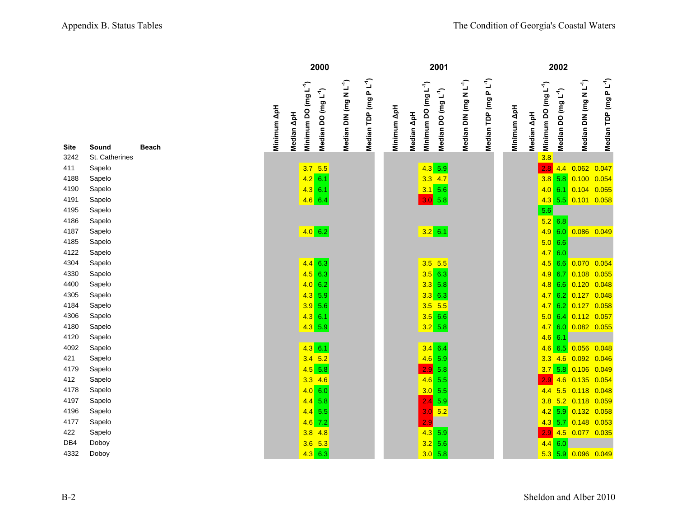|              |                  |              |             |                        |                                  | 2000                            |                                    |                                  |             |            | 2001                                                                |                                    |                                    |             |            |                                  | 2002                            |                                    |                                            |  |
|--------------|------------------|--------------|-------------|------------------------|----------------------------------|---------------------------------|------------------------------------|----------------------------------|-------------|------------|---------------------------------------------------------------------|------------------------------------|------------------------------------|-------------|------------|----------------------------------|---------------------------------|------------------------------------|--------------------------------------------|--|
| Site         | Sound            | <b>Beach</b> | Minimum ApH | $\Delta p$ H<br>Median | Minimum DO (mg L <sup>-1</sup> ) | Median DO (mg L <sup>-1</sup> ) | Median DIN (mg N L <sup>-1</sup> ) | Median TDP (mg PL <sup>1</sup> ) | Minimum ApH | Median ApH | Minimum DO (mg L <sup>-1</sup> )<br>Median DO (mg L <sup>-1</sup> ) | Median DIN (mg N L <sup>-1</sup> ) | Median TDP (mg P L <sup>-1</sup> ) | Minimum ApH | Median ApH | Minimum DO (mg L <sup>-1</sup> ) | Median DO (mg L <sup>-1</sup> ) | Median DIN (mg N L <sup>-1</sup> ) | Median TDP (mg P L <sup>-1</sup> )         |  |
| 3242         | St. Catherines   |              |             |                        |                                  |                                 |                                    |                                  |             |            |                                                                     |                                    |                                    |             |            | 3.8                              |                                 |                                    |                                            |  |
| 411          | Sapelo           |              |             |                        | $3.7$ 5.5                        |                                 |                                    |                                  |             |            | $4.3$ 5.9                                                           |                                    |                                    |             |            | 2.8                              |                                 | 4.4 0.062 0.047                    |                                            |  |
| 4188         | Sapelo           |              |             |                        | $4.2$ 6.1                        |                                 |                                    |                                  |             |            | $3.3$ 4.7                                                           |                                    |                                    |             |            |                                  |                                 | $3.8$ 5.8 0.100 0.054              |                                            |  |
| 4190         | Sapelo           |              |             |                        | $4.3$ 6.1                        |                                 |                                    |                                  |             |            | $3.1\ 5.6$                                                          |                                    |                                    |             |            |                                  |                                 |                                    | 4.0 6.1 0.104 0.055                        |  |
| 4191         | Sapelo           |              |             |                        | $4.6$ 6.4                        |                                 |                                    |                                  |             |            | 3.0 5.8                                                             |                                    |                                    |             |            |                                  |                                 | 4.3 5.5 0.101 0.058                |                                            |  |
| 4195         | Sapelo           |              |             |                        |                                  |                                 |                                    |                                  |             |            |                                                                     |                                    |                                    |             |            | 5.6                              |                                 |                                    |                                            |  |
| 4186         | Sapelo           |              |             |                        |                                  |                                 |                                    |                                  |             |            |                                                                     |                                    |                                    |             |            |                                  | $5.2$ 6.8                       |                                    |                                            |  |
| 4187         | Sapelo           |              |             |                        | 4.0 6.2                          |                                 |                                    |                                  |             |            | $3.2 \ 6.1$                                                         |                                    |                                    |             |            |                                  | 4.9 6.0                         | 0.086 0.049                        |                                            |  |
| 4185         | Sapelo           |              |             |                        |                                  |                                 |                                    |                                  |             |            |                                                                     |                                    |                                    |             |            |                                  | 5.0 6.6                         |                                    |                                            |  |
| 4122         | Sapelo           |              |             |                        |                                  |                                 |                                    |                                  |             |            |                                                                     |                                    |                                    |             |            |                                  | 4.760                           |                                    |                                            |  |
| 4304         | Sapelo           |              |             |                        | $4.4$ 6.3                        |                                 |                                    |                                  |             |            | $3.5$ 5.5                                                           |                                    |                                    |             |            | 4.5                              | 6.6                             |                                    | 0.070 0.054                                |  |
| 4330         | Sapelo           |              |             |                        | $4.5$ 6.3                        |                                 |                                    |                                  |             |            | $3.5$ 6.3                                                           |                                    |                                    |             |            |                                  |                                 |                                    | 4.9 6.7 0.108 0.055                        |  |
| 4400<br>4305 | Sapelo<br>Sapelo |              |             |                        | 4.062<br>$4.3$ 5.9               |                                 |                                    |                                  |             |            | $3.3$ 5.8<br>$3.3$ 6.3                                              |                                    |                                    |             |            |                                  |                                 |                                    | 4.8 6.6 0.120 0.048<br>4.7 6.2 0.127 0.048 |  |
| 4184         | Sapelo           |              |             |                        | $3.9$ 5.6                        |                                 |                                    |                                  |             |            | $3.5$ 5.5                                                           |                                    |                                    |             |            |                                  |                                 |                                    | 4.7 6.2 0.127 0.058                        |  |
| 4306         | Sapelo           |              |             |                        | $4.3$ 6.1                        |                                 |                                    |                                  |             |            | $3.5$ 6.6                                                           |                                    |                                    |             |            |                                  |                                 |                                    | $5.0$ 6.4 0.112 0.057                      |  |
| 4180         | Sapelo           |              |             |                        | $4.3$ 5.9                        |                                 |                                    |                                  |             |            | $3.2$ 5.8                                                           |                                    |                                    |             |            |                                  | 4.760                           | 0.082 0.055                        |                                            |  |
| 4120         | Sapelo           |              |             |                        |                                  |                                 |                                    |                                  |             |            |                                                                     |                                    |                                    |             |            | $4.6$ 6.1                        |                                 |                                    |                                            |  |
| 4092         | Sapelo           |              |             |                        | $4.3 \ 6.1$                      |                                 |                                    |                                  |             |            | $3.4$ 6.4                                                           |                                    |                                    |             |            |                                  |                                 |                                    | $4.6$ 6.5 0.056 0.048                      |  |
| 421          | Sapelo           |              |             |                        | $3.4$ 5.2                        |                                 |                                    |                                  |             |            | $4.6$ 5.9                                                           |                                    |                                    |             |            |                                  |                                 |                                    | 3.3 4.6 0.092 0.046                        |  |
| 4179         | Sapelo           |              |             |                        | $4.5$ 5.8                        |                                 |                                    |                                  |             |            | 2.9 5.8                                                             |                                    |                                    |             |            |                                  |                                 |                                    | $3.7$ 5.8 0.106 0.049                      |  |
| 412          | Sapelo           |              |             |                        | $3.3$ 4.6                        |                                 |                                    |                                  |             |            | $4.6$ 5.5                                                           |                                    |                                    |             |            |                                  |                                 |                                    | 2.9 4.6 0.135 0.054                        |  |
| 4178         | Sapelo           |              |             |                        | 4.0 6.0                          |                                 |                                    |                                  |             |            | $3.0$ 5.5                                                           |                                    |                                    |             |            |                                  |                                 |                                    | 4.4 5.5 0.118 0.048                        |  |
| 4197         | Sapelo           |              |             |                        | $4.4$ 5.8                        |                                 |                                    |                                  |             |            | $2.4$ 5.9                                                           |                                    |                                    |             |            |                                  |                                 |                                    | 3.8 5.2 0.118 0.059                        |  |
| 4196         | Sapelo           |              |             |                        | $4.4$ 5.5                        |                                 |                                    |                                  |             |            | $3.0$ 5.2                                                           |                                    |                                    |             |            |                                  |                                 |                                    | 4.2 5.9 0.132 0.058                        |  |
| 4177         | Sapelo           |              |             |                        | $4.6$ 7.2                        |                                 |                                    |                                  |             |            | 2.9                                                                 |                                    |                                    |             |            |                                  |                                 |                                    | 4.3 5.7 0.148 0.053                        |  |
| 422          | Sapelo           |              |             |                        | $3.8$ 4.8                        |                                 |                                    |                                  |             |            | $4.3$ 5.9                                                           |                                    |                                    |             |            |                                  |                                 |                                    | 2.9 4.5 0.077 0.035                        |  |
| DB4          | Doboy            |              |             |                        | $3.6$ 5.3                        |                                 |                                    |                                  |             |            | $3.2$ 5.6                                                           |                                    |                                    |             |            | 4.4                              | 6.0                             |                                    |                                            |  |
| 4332         | Doboy            |              |             |                        | $4.3$ 6.3                        |                                 |                                    |                                  |             |            | 3.0 5.8                                                             |                                    |                                    |             |            |                                  |                                 |                                    | $5.3$ 5.9 0.096 0.049                      |  |

| Site | Sound          | Beach |
|------|----------------|-------|
| 3242 | St. Catherines |       |
| 411  | Sapelo         |       |
| 4188 | Sapelo         |       |
| 4190 | Sapelo         |       |
| 4191 | Sapelo         |       |
| 4195 | Sapelo         |       |
| 4186 | Sapelo         |       |
| 4187 | Sapelo         |       |
| 4185 | Sapelo         |       |
| 4122 | Sapelo         |       |
| 4304 | Sapelo         |       |
| 4330 | Sapelo         |       |
| 4400 | Sapelo         |       |
| 4305 | Sapelo         |       |
| 4184 | Sapelo         |       |
| 4306 | Sapelo         |       |
| 4180 | Sapelo         |       |
| 4120 | Sapelo         |       |
| 4092 | Sapelo         |       |
| 421  | Sapelo         |       |
| 4179 | Sapelo         |       |
| 412  | Sapelo         |       |
| 4178 | Sapelo         |       |
| 4197 | Sapelo         |       |
| 4196 | Sapelo         |       |
| 4177 | Sapelo         |       |
| 422  | Sapelo         |       |
| DB4  | Doboy          |       |
| ハつつつ | Dohov          |       |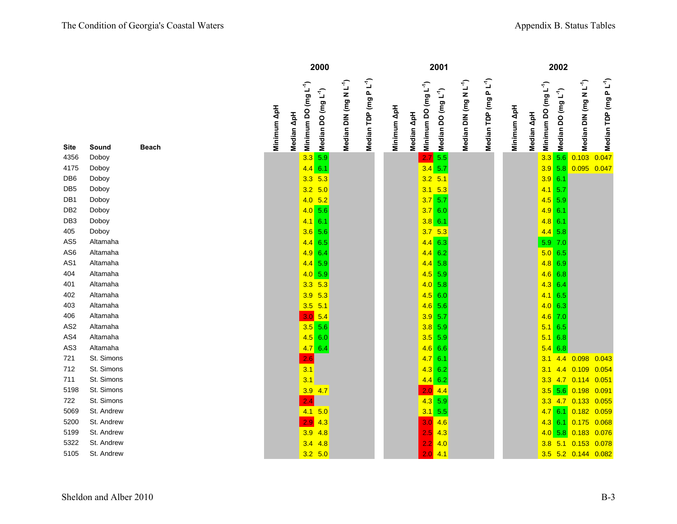|      |            |       |             |                                            | 2000                            |                                    |                                   |             |                                                | 2001                            |                                    |                           |             |            |                                  | 2002                            |                                    |                                    |
|------|------------|-------|-------------|--------------------------------------------|---------------------------------|------------------------------------|-----------------------------------|-------------|------------------------------------------------|---------------------------------|------------------------------------|---------------------------|-------------|------------|----------------------------------|---------------------------------|------------------------------------|------------------------------------|
| Site | Sound      | Beach | Minimum ApH | $(\log L^4)$<br>8<br>Median ApH<br>Minimum | Median DO (mg L <sup>-1</sup> ) | Median DIN (mg N L <sup>-1</sup> ) | Median TDP (mg PL <sup>-1</sup> ) | Minimum ApH | Minimum DO (mg L <sup>-1</sup> )<br>Median ApH | Median DO (mg L <sup>-1</sup> ) | Median DIN (mg N L <sup>-1</sup> ) | $PL^4)$<br>Median TDP (mg | Minimum ApH | Median ApH | Minimum DO (mg L <sup>-1</sup> ) | Median DO (mg L <sup>-1</sup> ) | Median DIN (mg N L <sup>-1</sup> ) | Median TDP (mg P L <sup>-1</sup> ) |
| 4356 | Doboy      |       |             |                                            | $3.3$ 5.9                       |                                    |                                   |             |                                                | $2.7$ 5.5                       |                                    |                           |             |            |                                  | $3.3$ 5.6                       | 0.103                              | 0.047                              |
| 4175 | Doboy      |       |             |                                            | $4.4$ 6.1                       |                                    |                                   |             |                                                | $3.4$ 5.7                       |                                    |                           |             |            |                                  | $3.9$ 5.8                       | 0.095 0.047                        |                                    |
| DB6  | Doboy      |       |             |                                            | $3.3$ 5.3                       |                                    |                                   |             |                                                | $3.2$ 5.1                       |                                    |                           |             |            | $3.9$ 6.1                        |                                 |                                    |                                    |
| DB5  | Doboy      |       |             |                                            | $3.2$ 5.0                       |                                    |                                   |             |                                                | $3.1\quad 5.3$                  |                                    |                           |             |            | $4.1 \ 5.7$                      |                                 |                                    |                                    |
| DB1  | Doboy      |       |             |                                            | 4.05.2                          |                                    |                                   |             |                                                | $3.7$ 5.7                       |                                    |                           |             |            | $4.5$ 5.9                        |                                 |                                    |                                    |
| DB2  | Doboy      |       |             |                                            | 4.0 5.6                         |                                    |                                   |             |                                                | 3.760                           |                                    |                           |             |            | $4.9$ 6.1                        |                                 |                                    |                                    |
| DB3  | Doboy      |       |             |                                            | $4.1 \ 6.1$                     |                                    |                                   |             |                                                | $3.8\ 6.1$                      |                                    |                           |             |            | $4.8$ 6.1                        |                                 |                                    |                                    |
| 405  | Doboy      |       |             |                                            | $3.6$ 5.6                       |                                    |                                   |             |                                                | $3.7$ 5.3                       |                                    |                           |             |            | $4.4$ 5.8                        |                                 |                                    |                                    |
| AS5  | Altamaha   |       |             |                                            | $4.4$ 6.5                       |                                    |                                   |             |                                                | $4.4$ 6.3                       |                                    |                           |             |            | 5.9 7.0                          |                                 |                                    |                                    |
| AS6  | Altamaha   |       |             |                                            | $4.9$ 6.4                       |                                    |                                   |             |                                                | $4.4$ 6.2                       |                                    |                           |             |            | 5.0 6.5                          |                                 |                                    |                                    |
| AS1  | Altamaha   |       |             |                                            | $4.4$ 5.9                       |                                    |                                   |             |                                                | $4.4$ 5.8                       |                                    |                           |             |            | $4.8$ 6.9                        |                                 |                                    |                                    |
| 404  | Altamaha   |       |             |                                            | $4.0$ 5.9                       |                                    |                                   |             |                                                | $4.5$ 5.9                       |                                    |                           |             |            | $4.6$ 6.8                        |                                 |                                    |                                    |
| 401  | Altamaha   |       |             |                                            | $3.3$ 5.3                       |                                    |                                   |             |                                                | $4.0$ 5.8                       |                                    |                           |             |            | $4.3 \ 6.4$                      |                                 |                                    |                                    |
| 402  | Altamaha   |       |             |                                            | $3.9$ 5.3                       |                                    |                                   |             |                                                | $4.5$ 6.0                       |                                    |                           |             |            | $4.1 \ 6.5$                      |                                 |                                    |                                    |
| 403  | Altamaha   |       |             |                                            | $3.5$ 5.1                       |                                    |                                   |             |                                                | $4.6$ 5.6                       |                                    |                           |             |            | 4.0 6.3                          |                                 |                                    |                                    |
| 406  | Altamaha   |       |             |                                            | $3.0$ 5.4                       |                                    |                                   |             |                                                | $3.9$ 5.7                       |                                    |                           |             |            | $4.6$ 7.0                        |                                 |                                    |                                    |
| AS2  | Altamaha   |       |             |                                            | $3.5$ 5.6                       |                                    |                                   |             |                                                | $3.8$ 5.9                       |                                    |                           |             |            | $5.1\ 6.5$                       |                                 |                                    |                                    |
| AS4  | Altamaha   |       |             |                                            | $4.5$ 6.0                       |                                    |                                   |             |                                                | $3.5$ 5.9                       |                                    |                           |             |            |                                  | $5.1 \ 6.8$                     |                                    |                                    |
| AS3  | Altamaha   |       |             |                                            | 4.76.4                          |                                    |                                   |             |                                                | $4.6$ 6.6                       |                                    |                           |             |            |                                  | $5.4\ 6.8$                      |                                    |                                    |
| 721  | St. Simons |       |             | 2.6                                        |                                 |                                    |                                   |             |                                                | 4.76.1                          |                                    |                           |             |            | 3.1                              | 4.4                             | 0.098                              | 0.043                              |
| 712  | St. Simons |       |             | 3.1                                        |                                 |                                    |                                   |             |                                                | $4.3$ 6.2                       |                                    |                           |             |            | 3.1                              | 4.4                             | $0.109$ 0.054                      |                                    |
| 711  | St. Simons |       |             |                                            | 3.1                             |                                    |                                   |             |                                                | $4.4 \ 6.2$                     |                                    |                           |             |            |                                  |                                 | 3.3 4.7 0.114 0.051                |                                    |
| 5198 | St. Simons |       |             |                                            | $3.9$ 4.7                       |                                    |                                   |             |                                                | $2.0$ 4.4                       |                                    |                           |             |            |                                  |                                 | $3.5$ 5.6 0.198                    | 0.091                              |
| 722  | St. Simons |       |             |                                            | 2.4                             |                                    |                                   |             |                                                | $4.3$ 5.9                       |                                    |                           |             |            |                                  | $3.3$ 4.7                       | 0.133 0.055                        |                                    |
| 5069 | St. Andrew |       |             |                                            | $4.1\ 5.0$                      |                                    |                                   |             |                                                | $3.1$ 5.5                       |                                    |                           |             |            |                                  | 4.76.1                          | 0.182 0.059                        |                                    |
| 5200 | St. Andrew |       |             |                                            | $2.9$ 4.3                       |                                    |                                   |             |                                                | $3.0$ 4.6                       |                                    |                           |             |            |                                  | $4.3$ 6.1                       | $0.175$ 0.068                      |                                    |
| 5199 | St. Andrew |       |             |                                            | $3.9$ 4.8                       |                                    |                                   |             |                                                | 2.5<br>4.3                      |                                    |                           |             |            |                                  |                                 | $4.0$ 5.8 0.183                    | 0.076                              |
| 5322 | St. Andrew |       |             |                                            | $3.4$ 4.8                       |                                    |                                   |             |                                                | 4.0<br>2.2                      |                                    |                           |             |            | 3.8                              |                                 | 5.1 0.153 0.078                    |                                    |
| 5105 | St. Andrew |       |             |                                            | $3.2$ 5.0                       |                                    |                                   |             |                                                | $2.0$ 4.1                       |                                    |                           |             |            |                                  |                                 | 3.5 5.2 0.144 0.082                |                                    |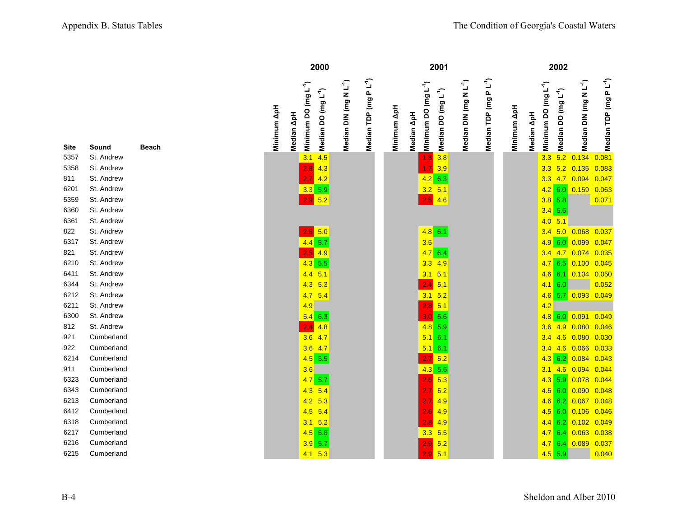|              |             | 2000                                                                              |                                                                         | 2001                                                                                                                                   |                                                   | 2002                                                                              |                                                                         |
|--------------|-------------|-----------------------------------------------------------------------------------|-------------------------------------------------------------------------|----------------------------------------------------------------------------------------------------------------------------------------|---------------------------------------------------|-----------------------------------------------------------------------------------|-------------------------------------------------------------------------|
| <b>Beach</b> | Minimum ApH | Minimum DO (mg L <sup>-1</sup> )<br>Median DO (mg L <sup>-1</sup> )<br>Median ApH | Median TDP (mg PL <sup>-1</sup> )<br>Median DIN (mg N L <sup>-1</sup> ) | Median DIN (mg N L <sup>-1</sup> )<br>Minimum DO (mg L <sup>-1</sup> )<br>Median DO (mg L <sup>-1</sup> )<br>Minimum ApH<br>Median ApH | Median TDP (mg P L <sup>-1</sup> )<br>Minimum ApH | Minimum DO (mg L <sup>-1</sup> )<br>Median DO (mg L <sup>-1</sup> )<br>Median ApH | Median TDP (mg PL <sup>-1</sup> )<br>Median DIN (mg N L <sup>-1</sup> ) |
| W            |             | 3.1<br>4.5                                                                        |                                                                         | $\begin{array}{ c c } \hline 1.8 & 3.8 \\ \hline \end{array}$                                                                          |                                                   | 5.2<br>3.3                                                                        | 0.134<br>0.081                                                          |
| W            |             | 2.8<br>4.3                                                                        |                                                                         | $1.7$ 3.9                                                                                                                              |                                                   | 5.2<br>3.3                                                                        | 0.135<br>0.083                                                          |
| W            |             | $2.7$ 4.2                                                                         |                                                                         | $4.2$ 6.3                                                                                                                              |                                                   | 4.7<br>3.3                                                                        | 0.094<br>0.047                                                          |
| W            |             | $3.3$ 5.9                                                                         |                                                                         | $3.2$ 5.1                                                                                                                              |                                                   | $4.2$ 6.0                                                                         | 0.159<br>0.063                                                          |
| W            |             | $2.9$ 5.2                                                                         |                                                                         | $2.5$ 4.6                                                                                                                              |                                                   | $3.8$ 5.8                                                                         | 0.071                                                                   |
| W            |             |                                                                                   |                                                                         |                                                                                                                                        |                                                   | $3.4$ 5.6                                                                         |                                                                         |
| W            |             |                                                                                   |                                                                         |                                                                                                                                        |                                                   | $4.0$ 5.1                                                                         |                                                                         |
| W            |             | $2.6$ 5.0                                                                         |                                                                         | $4.8$ 6.1                                                                                                                              |                                                   | 3.4                                                                               | $5.0\quad 0.068$<br>0.037                                               |
| W            |             | $4.4$ 5.7                                                                         |                                                                         | 3.5                                                                                                                                    |                                                   | 4.9 6.0                                                                           | 0.099<br>0.047                                                          |
| W            |             | $2.5$ 4.9                                                                         |                                                                         | 4.76.4                                                                                                                                 |                                                   | 3.4 4.7 0.074                                                                     | 0.035                                                                   |
| W            |             | $4.3$ 5.5                                                                         |                                                                         | $3.3$ 4.9                                                                                                                              |                                                   | 4.765                                                                             | 0.100<br>0.045                                                          |
| W            |             | $4.4$ 5.1                                                                         |                                                                         | $3.1\ 5.1$                                                                                                                             |                                                   | $4.6$ 6.1                                                                         | 0.104 0.050                                                             |
| w            |             | $4.3$ 5.3                                                                         |                                                                         | $2.4 \overline{)5.1}$                                                                                                                  |                                                   | $4.1 \ 6.0$                                                                       | 0.052                                                                   |
| W            |             | $4.7$ 5.4                                                                         |                                                                         | $3.1\quad 5.2$                                                                                                                         |                                                   | 4.6<br>5.7                                                                        | 0.093<br>0.049                                                          |
| w            |             | 4.9                                                                               |                                                                         | $2.8$ 5.1                                                                                                                              |                                                   | 4.2                                                                               |                                                                         |
| W            |             | $5.4$ 6.3                                                                         |                                                                         | 3.0 5.6                                                                                                                                |                                                   | $4.8$ 6.0 0.091                                                                   | 0.049                                                                   |
| W            |             | $2.4 \, 4.8$                                                                      |                                                                         | $4.8$ 5.9                                                                                                                              |                                                   | 3.6<br>4.9                                                                        | 0.080<br>0.046                                                          |
| ınd          |             | $3.6$ 4.7                                                                         |                                                                         | $5.1 \ 6.1$                                                                                                                            |                                                   | 3.4<br>4.6                                                                        | 0.080<br>0.030                                                          |
| ınd          |             | $3.6$ 4.7                                                                         |                                                                         | $5.1\ 6.1$                                                                                                                             |                                                   | 3.4 4.6 0.066                                                                     | 0.033                                                                   |
| ınd          |             | $4.5$ 5.5                                                                         |                                                                         | $2.7\,$ 5.2                                                                                                                            |                                                   | $4.3 \ 6.2$                                                                       | 0.084<br>0.043                                                          |
| ınd          |             | 3.6                                                                               |                                                                         | $4.3$ 5.6                                                                                                                              |                                                   | 3.1                                                                               | 4.6 0.094<br>0.044                                                      |
| ınd          |             | $4.7$ 5.7                                                                         |                                                                         | $2.6 \ 5.3$                                                                                                                            |                                                   | $4.3$ 5.9                                                                         | 0.078<br>0.044                                                          |
| ınd          |             | $4.3$ 5.4                                                                         |                                                                         | $2.7 \, 5.2$                                                                                                                           |                                                   | $4.5$ 6.0                                                                         | 0.090<br>0.048                                                          |
| ınd          |             | $4.2$ 5.3                                                                         |                                                                         | $2.7$ 4.9                                                                                                                              |                                                   | $4.6$ 6.2                                                                         | 0.048<br>0.067                                                          |
| ınd          |             | $4.5$ 5.4                                                                         |                                                                         | $2.6$ 4.9                                                                                                                              |                                                   | $4.5$ 6.0                                                                         | 0.046<br>0.106                                                          |
| ınd          |             | $3.1\quad 5.2$                                                                    |                                                                         | 4.9<br>2.8                                                                                                                             |                                                   | $4.4$ 6.2                                                                         | 0.102<br>0.049                                                          |
| ınd          |             | $4.5$ 5.8                                                                         |                                                                         | $3.3$ 5.5                                                                                                                              |                                                   | 4.76.4                                                                            | 0.063<br>0.038                                                          |
| ınd          |             | $3.9$ 5.7                                                                         |                                                                         | $2.9$ 5.2                                                                                                                              |                                                   | 4.76.4                                                                            | 0.089<br>0.037                                                          |
| ınd          |             | $4.1$ 5.3                                                                         |                                                                         | $2.9$ 5.1                                                                                                                              |                                                   | $4.5$ 5.9                                                                         | 0.040                                                                   |
|              |             |                                                                                   |                                                                         |                                                                                                                                        |                                                   |                                                                                   |                                                                         |

| Site | Sound      | Beach |
|------|------------|-------|
| 5357 | St. Andrew |       |
| 5358 | St. Andrew |       |
| 811  | St. Andrew |       |
| 6201 | St. Andrew |       |
| 5359 | St. Andrew |       |
| 6360 | St. Andrew |       |
| 6361 | St. Andrew |       |
| 822  | St. Andrew |       |
| 6317 | St. Andrew |       |
| 821  | St. Andrew |       |
| 6210 | St. Andrew |       |
| 6411 | St. Andrew |       |
| 6344 | St. Andrew |       |
| 6212 | St. Andrew |       |
| 6211 | St. Andrew |       |
| 6300 | St. Andrew |       |
| 812  | St. Andrew |       |
| 921  | Cumberland |       |
| 922  | Cumberland |       |
| 6214 | Cumberland |       |
| 911  | Cumberland |       |
| 6323 | Cumberland |       |
| 6343 | Cumberland |       |
| 6213 | Cumberland |       |
| 6412 | Cumberland |       |
| 6318 | Cumberland |       |
| 6217 | Cumberland |       |
| 6216 | Cumberland |       |

6215 Cumberland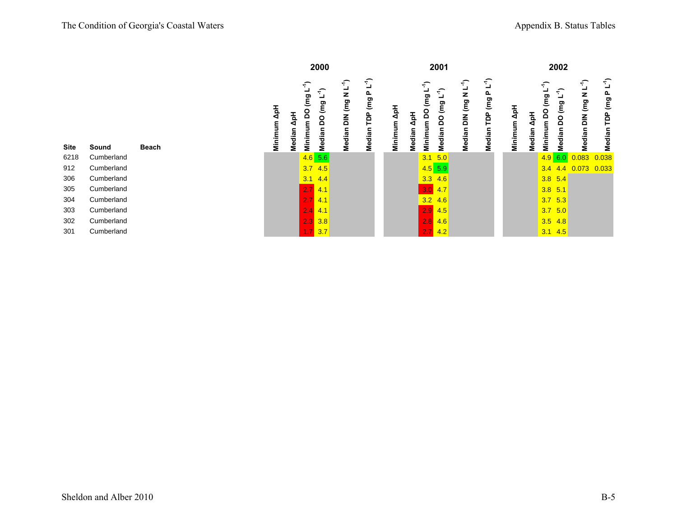|              |             |               |                                                  | 2000                            |                                    |                                                   |             |                           |                                                | 2001                            |                                    |                           |             |                           |                                           | 2002                            |                                    |                                    |
|--------------|-------------|---------------|--------------------------------------------------|---------------------------------|------------------------------------|---------------------------------------------------|-------------|---------------------------|------------------------------------------------|---------------------------------|------------------------------------|---------------------------|-------------|---------------------------|-------------------------------------------|---------------------------------|------------------------------------|------------------------------------|
| <b>Beach</b> | Minimum ApH | ApH<br>Median | $\widehat{\mathcal{F}}$<br>ᆜ<br>gg<br>Minimum DO | Median DO (mg L <sup>-1</sup> ) | Median DIN (mg N L <sup>-1</sup> ) | $\mathbf{L}^{\prime}$<br>Ը<br>gg<br>PDP<br>Median | Minimum ApH | $\mathbf{A}$ pH<br>Median | $\widehat{\mathcal{F}}$<br>⊐<br>Minimum DO (mg | Median DO (mg L <sup>-1</sup> ) | Median DIN (mg N L <sup>-1</sup> ) | Ĺ,<br>TDP (mg P<br>Median | Minimum ApH | $\mathbf{A}$ pH<br>Median | $\widehat{\mathcal{F}}$<br>Minimum DO (mg | Median DO (mg L <sup>-1</sup> ) | Median DIN (mg N L <sup>-1</sup> ) | Median TDP (mg P L <sup>-1</sup> ) |
| d            |             |               | $4.6$ 5.6                                        |                                 |                                    |                                                   |             |                           | 3.1                                            | 5.0                             |                                    |                           |             |                           |                                           | 4.9 6.0                         | 0.083                              | 0.038                              |
| d            |             |               | $3.7$ 4.5                                        |                                 |                                    |                                                   |             |                           |                                                | $4.5$ 5.9                       |                                    |                           |             |                           | 3.4                                       | 4.4                             | 0.073                              | 0.033                              |
|              |             |               | $3.1$ 4.4                                        |                                 |                                    |                                                   |             |                           |                                                | $3.3$ 4.6                       |                                    |                           |             |                           |                                           | $3.8$ 5.4                       |                                    |                                    |
| d            |             |               | $2.7$ 4.1                                        |                                 |                                    |                                                   |             |                           |                                                | $3.0$ 4.7                       |                                    |                           |             |                           |                                           | $3.8$ 5.1                       |                                    |                                    |
| d            |             |               | $2.7$ 4.1                                        |                                 |                                    |                                                   |             |                           | $3.2$ 4.6                                      |                                 |                                    |                           |             |                           |                                           | $3.7$ 5.3                       |                                    |                                    |
| d            |             |               | $2.4$ 4.1                                        |                                 |                                    |                                                   |             |                           | $2.9$ 4.5                                      |                                 |                                    |                           |             |                           |                                           | $3.7$ 5.0                       |                                    |                                    |
| d            |             |               | $2.3 \, 3.8$                                     |                                 |                                    |                                                   |             |                           |                                                | $2.8$ 4.6                       |                                    |                           |             |                           |                                           | $3.5$ 4.8                       |                                    |                                    |
| d            |             |               | $1.7$ 3.7                                        |                                 |                                    |                                                   |             |                           |                                                | $2.7$ 4.2                       |                                    |                           |             |                           |                                           | $3.1$ 4.5                       |                                    |                                    |

| <b>Site</b> | Sound      | Beach |
|-------------|------------|-------|
| 6218        | Cumberland |       |
| 912         | Cumberland |       |
| 306         | Cumberland |       |
| 305         | Cumberland |       |
| 304         | Cumberland |       |
| 303         | Cumberland |       |
| 302         | Cumberland |       |

301 Cumberland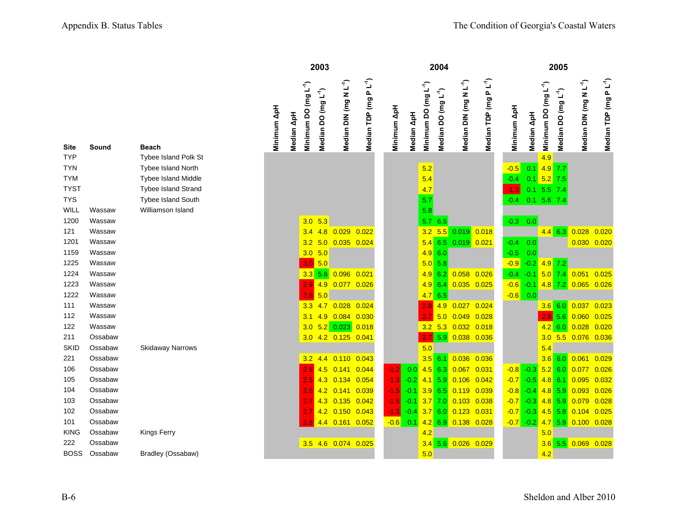|             |                  |                         |             |            |                          | 2003                            |                                    |                             |                |            |                          | 2004                            |                                    |                           |              |               |                              | 2005                            |                                    |                                    |
|-------------|------------------|-------------------------|-------------|------------|--------------------------|---------------------------------|------------------------------------|-----------------------------|----------------|------------|--------------------------|---------------------------------|------------------------------------|---------------------------|--------------|---------------|------------------------------|---------------------------------|------------------------------------|------------------------------------|
| Site        | Sound            | <b>Beach</b>            | Minimum ApH | Median ApH | $(mg L-1)$<br>Minimum DO | Median DO (mg L <sup>-1</sup> ) | Median DIN (mg N L <sup>-1</sup> ) | $PL^{-1}$<br>Median TDP (mg | Minimum ApH    | Median ApH | $(mg L-1)$<br>Minimum DO | Median DO (mg L <sup>-1</sup> ) | Median DIN (mg N L <sup>-1</sup> ) | $PL^4)$<br>Median TDP (mg | Minimum ApH  | Median ApH    | (mg $L^{-1}$ )<br>Minimum DO | Median DO (mg L <sup>-1</sup> ) | Median DIN (mg N L <sup>-1</sup> ) | Median TDP (mg P L <sup>-1</sup> ) |
| <b>TYP</b>  |                  | Tybee Island Polk St    |             |            |                          |                                 |                                    |                             |                |            |                          |                                 |                                    |                           |              |               | 4.9                          |                                 |                                    |                                    |
| <b>TYN</b>  |                  | Tybee Island North      |             |            |                          |                                 |                                    |                             |                |            | 5.2                      |                                 |                                    |                           | $-0.5$       | 0.1           | $4.9$ 7.7                    |                                 |                                    |                                    |
| TYM         |                  | Tybee Island Middle     |             |            |                          |                                 |                                    |                             |                |            | 5.4                      |                                 |                                    |                           | $-0.4$       | $0.1$ 5.2 7.5 |                              |                                 |                                    |                                    |
| <b>TYST</b> |                  | Tybee Island Strand     |             |            |                          |                                 |                                    |                             |                |            | 4.7                      |                                 |                                    |                           | $-1.3$       | $0.1$ 5.5 7.4 |                              |                                 |                                    |                                    |
| TYS         |                  | Tybee Island South      |             |            |                          |                                 |                                    |                             |                |            | 5.7                      |                                 |                                    |                           | $-0.4$       | $0.1$ 5.6 7.4 |                              |                                 |                                    |                                    |
| WILL        | Wassaw           | Williamson Island       |             |            |                          |                                 |                                    |                             |                |            | 5.8                      |                                 |                                    |                           |              |               |                              |                                 |                                    |                                    |
| 1200        | Wassaw           |                         |             |            | $3.0$ 5.3                |                                 |                                    |                             |                |            |                          | 5.7 6.5                         |                                    |                           | $-0.3$       | 0.0           |                              |                                 |                                    |                                    |
| 121<br>1201 | Wassaw<br>Wassaw |                         |             |            | 3.4<br>3.2               | 4.8<br>5.0                      | 0.029<br>$0.035$ 0.024             | 0.022                       |                |            | 3.2<br>5.4               | 5.5<br>6.5                      | $0.019$ $0.018$<br>$0.019$ $0.021$ |                           | $-0.4$       | 0.0           | $4.4$ 6.3                    |                                 | 0.028<br>$0.030$ $0.020$           | 0.020                              |
| 1159        | Wassaw           |                         |             |            | $3.0$ 5.0                |                                 |                                    |                             |                |            |                          | 4.960                           |                                    |                           | $-0.5$       | 0.0           |                              |                                 |                                    |                                    |
| 1225        | Wassaw           |                         |             |            | 3.0 5.0                  |                                 |                                    |                             |                |            |                          | $5.0$ 5.8                       |                                    |                           | $-0.9$       | $-0.2$        | $4.9$ 7.2                    |                                 |                                    |                                    |
| 1224        | Wassaw           |                         |             |            | 3.3                      | 5.6                             | 0.096 0.021                        |                             |                |            | 4.9                      | 6.2                             | $0.058$ $0.026$                    |                           | $-0.4$       | $-0.1$        | $5.0$ 7.4                    |                                 | 0.051                              | 0.025                              |
| 1223        | Wassaw           |                         |             |            | 2.9                      | 4.9                             | 0.077 0.026                        |                             |                |            |                          | $4.9$ 6.4                       | $0.035$ $0.025$                    |                           | $-0.6 - 0.1$ |               | $4.8$ 7.2                    |                                 | $0.065$ $0.026$                    |                                    |
| 1222        | Wassaw           |                         |             |            | 2.8                      | 5.0                             |                                    |                             |                |            |                          | 4.765                           |                                    |                           | $-0.6$ 0.0   |               |                              |                                 |                                    |                                    |
| 111         | Wassaw           |                         |             |            | 3.3                      | 4.7                             | 0.028                              | 0.024                       |                |            | 2.8                      | 4.9                             | 0.027                              | 0.024                     |              |               | $3.6$ 6.0                    |                                 | 0.037                              | 0.023                              |
| 112         | Wassaw           |                         |             |            | 3.1                      | 4.9                             | 0.084 0.030                        |                             |                |            |                          | 5.0                             | 0.049                              | 0.028                     |              |               | 2.9 5.6                      |                                 | $0.060$ $0.025$                    |                                    |
| 122         | Wassaw           |                         |             |            | 3.0                      |                                 | $5.2$ 0.023                        | 0.018                       |                |            |                          |                                 | 3.2 5.3 0.032 0.018                |                           |              |               | 4.2 6.0                      |                                 | $0.028$ 0.020                      |                                    |
| 211         | Ossabaw          |                         |             |            |                          |                                 | 3.0 4.2 0.125 0.041                |                             |                |            | 2.7                      | 5.9                             | 0.038 0.036                        |                           |              |               | 3.0                          | 5.5                             | 0.076 0.036                        |                                    |
| <b>SKID</b> | Ossabaw          | <b>Skidaway Narrows</b> |             |            |                          |                                 |                                    |                             |                |            | 5.0                      |                                 |                                    |                           |              |               | 5.4                          |                                 |                                    |                                    |
| 221         | Ossabaw          |                         |             |            | 3.2                      | 4.4                             | 0.110                              | 0.043                       |                |            |                          | $3.5$ 6.1                       | 0.036                              | 0.036                     |              |               | $3.6$ 6.0                    |                                 | 0.061                              | 0.029                              |
| 106         | Ossabaw          |                         |             |            | 2.5                      | 4.5                             | $0.141$ $0.044$                    |                             | $-1.2$         | 0.0        |                          | $4.5$ 6.3                       | 0.067                              | 0.031                     | $-0.8 - 0.3$ |               | $5.2$ 6.0                    |                                 | 0.077                              | 0.026                              |
| 105         | Ossabaw          |                         |             |            | 2.5                      | 4.3                             | $0.134$ $0.054$                    |                             | $-1.3$         | $-0.2$     |                          | $4.1$ 5.9                       | $0.106$ $0.042$                    |                           | $-0.7 -0.5$  |               | $4.8$ 6.1                    |                                 | $0.095$ $0.032$                    |                                    |
| 104         | Ossabaw          |                         |             |            | 2.6                      |                                 | 4.2 0.141 0.039                    |                             | $\blacksquare$ | $-0.1$     |                          | $3.9$ 6.5                       | 0.119                              | 0.039                     | $-0.8 - 0.4$ |               | $4.8$ 5.9                    |                                 | $0.093$ $0.026$                    |                                    |
| 103         | Ossabaw          |                         |             |            | 2.7                      |                                 | 4.3 0.135 0.042                    |                             | $-1.5$         | $-0.1$     |                          | $3.7$ 7.0                       | 0.103                              | 0.038                     | $-0.7 -0.3$  |               | $4.8$ 5.9                    |                                 | 0.079                              | 0.028                              |
| 102         | Ossabaw          |                         |             |            | 2.7                      |                                 | 4.2 0.150 0.043                    |                             | $-1.3$         | $-0.4$     |                          | 3.760                           | 0.123                              | 0.031                     | $-0.7 -0.3$  |               | $4.5$ 5.8                    |                                 | $0.104$ $0.025$                    |                                    |
| 101         | Ossabaw          |                         |             |            |                          |                                 | 4.4 0.161 0.052                    |                             | $-0.6$         | 0.1        |                          |                                 | 4.2 6.9 0.138 0.028                |                           | $-0.7 -0.2$  |               |                              | $4.7$ 5.9                       | $0.100$ $0.028$                    |                                    |
| <b>KING</b> | Ossabaw          | Kings Ferry             |             |            |                          |                                 |                                    |                             |                |            | 4.2                      |                                 |                                    |                           |              |               | 5.0                          |                                 |                                    |                                    |
| 222         | Ossabaw          |                         |             |            |                          |                                 | 3.5 4.6 0.074 0.025                |                             |                |            |                          |                                 | $3.4$ 5.6 0.026 0.029              |                           |              |               | 3.6                          | 5.5                             | 0.069                              | 0.028                              |
| <b>BOSS</b> | Ossabaw          | Bradley (Ossabaw)       |             |            |                          |                                 |                                    |                             |                |            | 5.0                      |                                 |                                    |                           |              |               | 4.2                          |                                 |                                    |                                    |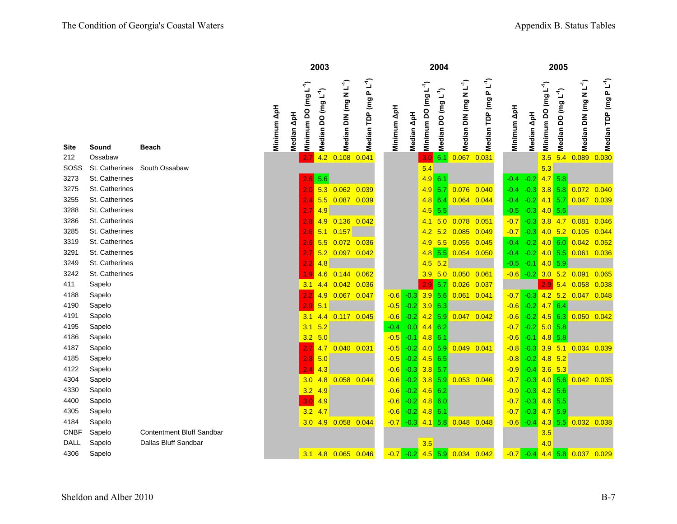|             |                |                           |             |                                                | 2003                            |                                    |                            |             |                |                                  | 2004                            |                                    |                         |             |                |                                  | 2005                            |                                    |                                    |
|-------------|----------------|---------------------------|-------------|------------------------------------------------|---------------------------------|------------------------------------|----------------------------|-------------|----------------|----------------------------------|---------------------------------|------------------------------------|-------------------------|-------------|----------------|----------------------------------|---------------------------------|------------------------------------|------------------------------------|
| Site        | Sound          | <b>Beach</b>              | Minimum ApH | Minimum DO (mg L <sup>-1</sup> )<br>Median ApH | Median DO (mg L <sup>-1</sup> ) | Median DIN (mg N L <sup>-1</sup> ) | P L'I<br>(mg<br>Median TDP | Minimum ApH | Median ApH     | Minimum DO (mg L <sup>-1</sup> ) | Median DO (mg L <sup>-1</sup> ) | Median DIN (mg N L <sup>-1</sup> ) | P L'Í<br>Median TDP (mg | Minimum ApH | Median ApH     | Minimum DO (mg L <sup>-1</sup> ) | Median DO (mg L <sup>-1</sup> ) | Median DIN (mg N L <sup>-1</sup> ) | Median TDP (mg P L <sup>-1</sup> ) |
| 212         | Ossabaw        |                           |             |                                                | 4.2                             | 0.108                              | 0.041                      |             |                | 3.0                              | 6.1                             | 0.067                              | 0.031                   |             |                | 3.5                              | 5.4                             | 0.089                              | 0.030                              |
| SOSS        | St. Catherines | South Ossabaw             |             |                                                |                                 |                                    |                            |             |                | 5.4                              |                                 |                                    |                         |             |                | 5.3                              |                                 |                                    |                                    |
| 3273        | St. Catherines |                           |             | 2.6                                            | 5.6                             |                                    |                            |             |                | $4.9$ 6.1                        |                                 |                                    |                         | $-0.4$      | $-0.2$         | 4.75.8                           |                                 |                                    |                                    |
| 3275        | St. Catherines |                           |             |                                                | 5.3<br>2.0 <sub>1</sub>         |                                    | $0.062$ $0.039$            |             |                |                                  | $4.9$ 5.7                       | 0.076 0.040                        |                         | $-0.4$      | $-0.3$ 3.8 5.8 |                                  |                                 | $0.072$ 0.040                      |                                    |
| 3255        | St. Catherines |                           |             | 2.4                                            | 5.5                             |                                    | 0.087 0.039                |             |                |                                  | $4.8$ 6.4                       | 0.064 0.044                        |                         | $-0.4$      | $-0.2$         | $4.1$ 5.7                        |                                 | 0.047 0.039                        |                                    |
| 3288        | St. Catherines |                           |             | 2.7                                            | 4.9                             |                                    |                            |             |                |                                  | $4.5$ 5.5                       |                                    |                         | $-0.5$      | $-0.3$         | $4.0$ 5.5                        |                                 |                                    |                                    |
| 3286        | St. Catherines |                           |             | 2.8                                            | 4.9                             |                                    | $0.136$ $0.042$            |             |                | 4.1                              | 5.0                             | 0.078 0.051                        |                         | $-0.7$      | $-0.3$         | $3.8$ 4.7                        |                                 | 0.081                              | 0.046                              |
| 3285        | St. Catherines |                           |             | 2.6                                            | 5.1                             | 0.157                              |                            |             |                | 4.2                              | 5.2                             | 0.085                              | 0.049                   | $-0.7$      | $-0.3$         |                                  | $4.0$ 5.2                       | 0.105                              | 0.044                              |
| 3319        | St. Catherines |                           |             | 2.6                                            | 5.5                             | $0.072$ 0.036                      |                            |             |                | 4.9                              | 5.5                             | $0.055$ $0.045$                    |                         | $-0.4$      | $-0.2$ 4.0 6.0 |                                  |                                 | $0.042$ 0.052                      |                                    |
| 3291        | St. Catherines |                           |             | 2.7                                            |                                 | 5.2 0.097 0.042                    |                            |             |                |                                  | $4.8$ 5.5                       | 0.054 0.050                        |                         | $-0.4$      | $-0.2$ 4.0 5.5 |                                  |                                 | $0.061$ $0.036$                    |                                    |
| 3249        | St. Catherines |                           |             | $2.2^{\circ}$                                  | 4.8                             |                                    |                            |             |                | 4.5                              | 5.2                             |                                    |                         | $-0.5$      | $-0.1$         | 4.0 5.9                          |                                 |                                    |                                    |
| 3242        | St. Catherines |                           |             |                                                | 1.9 <sup>°</sup>                | 4.6 0.144 0.062                    |                            |             |                | 3.9                              |                                 | 5.0 0.050 0.061                    |                         |             |                |                                  |                                 | $-0.6$ $-0.2$ 3.0 5.2 0.091        | 0.065                              |
| 411         | Sapelo         |                           |             | 3.1                                            |                                 | 4.4 0.042 0.036                    |                            |             |                | 2.9                              | 5.7                             | $0.026$ 0.037                      |                         |             |                |                                  |                                 | $2.9$ 5.4 0.058                    | 0.038                              |
| 4188        | Sapelo         |                           |             | $2.2^{\circ}$                                  | 4.9                             | $0.067$ 0.047                      |                            |             | $-0.6 - 0.3$   |                                  | 3.9 5.6                         | $0.061$ $0.041$                    |                         | $-0.7$      | $-0.3$         |                                  |                                 | 4.2 5.2 0.047 0.048                |                                    |
| 4190        | Sapelo         |                           |             | 2.9                                            | 5.1                             |                                    |                            | $-0.5$      | $-0.2$         | $3.9$ 6.3                        |                                 |                                    |                         | $-0.6$      | $-0.2$         | 4.76.4                           |                                 |                                    |                                    |
| 4191        | Sapelo         |                           |             | 3.1                                            | 4.4                             |                                    | $0.117$ $0.045$            | $-0.6$      | $-0.2$ 4.2 5.9 |                                  |                                 | $0.047$ 0.042                      |                         | $-0.6$      | $-0.2$ 4.5 6.3 |                                  |                                 | $0.050$ $0.042$                    |                                    |
| 4195        | Sapelo         |                           |             | 3.1                                            | 5.2                             |                                    |                            | $-0.4$      | 0.0            | $4.4$ 6.2                        |                                 |                                    |                         | $-0.7$      |                | $-0.2$ 5.0 5.8                   |                                 |                                    |                                    |
| 4186        | Sapelo         |                           |             | 3.2                                            | 5.0                             |                                    |                            | $-0.5$      | $-0.1$         | $4.8$ 6.1                        |                                 |                                    |                         | $-0.6$      | $-0.1$         | $4.8$ 5.8                        |                                 |                                    |                                    |
| 4187        | Sapelo         |                           |             | 2.7                                            | 4.7                             | $0.040$ 0.031                      |                            | $-0.5$      | $-0.2$         |                                  | $4.0$ 5.9                       | 0.049                              | 0.041                   | $-0.8$      | $-0.3$         | $3.9$ 5.1                        |                                 | 0.034 0.039                        |                                    |
| 4185        | Sapelo         |                           |             |                                                | 5.0<br>2.8                      |                                    |                            | $-0.5$      | $-0.2$         | $4.5$ 6.5                        |                                 |                                    |                         | $-0.8$      | $-0.2$         |                                  | $4.8$ 5.2                       |                                    |                                    |
| 4122        | Sapelo         |                           |             | 2.4                                            | 4.3                             |                                    |                            | $-0.6$      | $-0.3$         | $3.8$ 5.7                        |                                 |                                    |                         | $-0.9$      | $-0.4$         | $3.6$ 5.3                        |                                 |                                    |                                    |
| 4304        | Sapelo         |                           |             | 3.0                                            |                                 | 4.8 0.058                          | 0.044                      | $-0.6$      | $-0.2$         |                                  | $3.8$ 5.9                       | 0.053                              | 0.046                   | $-0.7$      | $-0.3$         | $4.0$ 5.6                        |                                 | $0.042$ $0.035$                    |                                    |
| 4330        | Sapelo         |                           |             | 3.2                                            | 4.9                             |                                    |                            | $-0.6$      | $-0.2$         | $4.6$ 6.2                        |                                 |                                    |                         | $-0.9$      | $-0.3$         | $4.2$ 5.6                        |                                 |                                    |                                    |
| 4400        | Sapelo         |                           |             | 3.0                                            | 4.9                             |                                    |                            | $-0.6$      | $-0.2$         | $4.8$ 6.0                        |                                 |                                    |                         | $-0.7$      | $-0.3$         | $4.6$ 5.5                        |                                 |                                    |                                    |
| 4305        | Sapelo         |                           |             | 3.2                                            | 4.7                             |                                    |                            | $-0.6$      | $-0.2$         | $4.8$ 6.1                        |                                 |                                    |                         | $-0.7$      | $-0.3$         | $4.7$ 5.9                        |                                 |                                    |                                    |
| 4184        | Sapelo         |                           |             |                                                |                                 | 3.0 4.9 0.058 0.044                |                            | $-0.7$      | $-0.3$         |                                  | $4.1$ 5.8                       | 0.048 0.048                        |                         | $-0.6$      | $-0.4$         |                                  | $4.3$ 5.5                       | 0.032 0.038                        |                                    |
| <b>CNBF</b> | Sapelo         | Contentment Bluff Sandbar |             |                                                |                                 |                                    |                            |             |                |                                  |                                 |                                    |                         |             |                | 3.5                              |                                 |                                    |                                    |
| DALL        | Sapelo         | Dallas Bluff Sandbar      |             |                                                |                                 |                                    |                            |             |                | 3.5                              |                                 |                                    |                         |             |                | 4.0                              |                                 |                                    |                                    |
| 4306        | Sapelo         |                           |             |                                                |                                 | 3.1 4.8 0.065 0.046                |                            | $-0.7$      | $-0.2$         |                                  | $4.5$ 5.9                       | $0.034$ $0.042$                    |                         | $-0.7$      | $-0.4$         |                                  |                                 | 4.4 5.8 0.037 0.029                |                                    |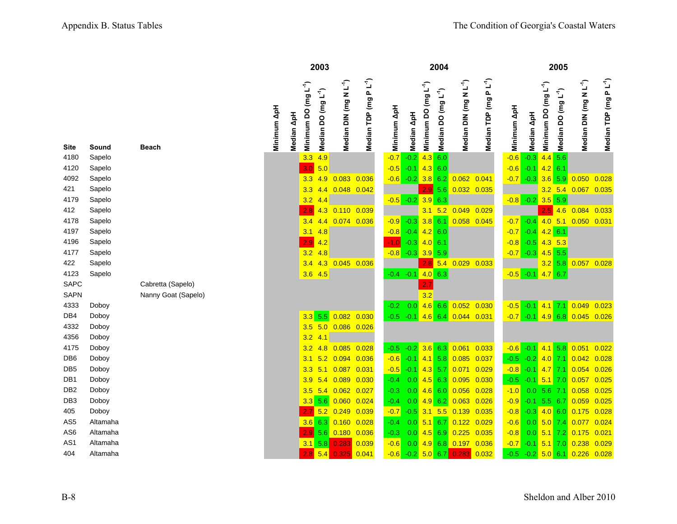|                 |          |                     |             |            |                              | 2003                            |                                    |                           |              |                          |                              | 2004                            |                                    |                             |                         |                |                            | 2005                |                                     |                                    |
|-----------------|----------|---------------------|-------------|------------|------------------------------|---------------------------------|------------------------------------|---------------------------|--------------|--------------------------|------------------------------|---------------------------------|------------------------------------|-----------------------------|-------------------------|----------------|----------------------------|---------------------|-------------------------------------|------------------------------------|
| Site            | Sound    | <b>Beach</b>        | Minimum ApH | Median ApH | (mg $L^{-1}$ )<br>Minimum DO | Median DO (mg L <sup>-1</sup> ) | Median DIN (mg N L <sup>-1</sup> ) | $PL^4)$<br>Median TDP (mg | Minimum ApH  | Median ApH               | (mg $L^{-1}$ )<br>Minimum DO | Median DO (mg L <sup>-1</sup> ) | Median DIN (mg N L <sup>-1</sup> ) | $PL^{-1}$<br>Median TDP (mg | Minimum ApH             | Median ApH     | $(mgL^{-1})$<br>Minimum DO | ٢Î<br>Median DO (mg | Median DIN (mg N L <sup>-1</sup> )  | Median TDP (mg P L <sup>-1</sup> ) |
| 4180            | Sapelo   |                     |             |            | 3.3                          | 4.9                             |                                    |                           | $-0.7$       | $-0.2$                   |                              | 4.360                           |                                    |                             | $-0.6$                  | $-0.3$         | $4.4$ 5.6                  |                     |                                     |                                    |
| 4120            | Sapelo   |                     |             |            | 3.0                          | 5.0                             |                                    |                           | $-0.5$       | $-0.1$                   | 4.3                          | 6.0                             |                                    |                             | $-0.6$                  | $-0.1$         | $4.2 \ 6.1$                |                     |                                     |                                    |
| 4092            | Sapelo   |                     |             |            | 3.3                          | 4.9                             | $0.083$ 0.036                      |                           |              | $-0.6 - 0.2 - 3.8$       |                              | 6.2                             | $0.062$ 0.041                      |                             | $-0.7 -0.3$             |                | $3.6$ 5.9                  |                     | $0.050$ $0.028$                     |                                    |
| 421             | Sapelo   |                     |             |            | 3.3                          | 4.4                             | $0.048$ 0.042                      |                           |              |                          | 2.9                          | 5.6                             | $0.032$ $0.035$                    |                             |                         |                |                            |                     | 3.2 5.4 0.067 0.035                 |                                    |
| 4179            | Sapelo   |                     |             |            | 3.2                          | 4.4                             |                                    |                           |              | $-0.5 -0.2$              | $3.9$ 6.3                    |                                 |                                    |                             | $-0.8 - 0.2$ 3.5 5.9    |                |                            |                     |                                     |                                    |
| 412             | Sapelo   |                     |             |            | 2.8                          |                                 | 4.3 0.110 0.039                    |                           |              |                          | 3.1                          |                                 | 5.2 0.049 0.029                    |                             |                         |                |                            |                     | 2.5 4.6 0.084 0.033                 |                                    |
| 4178            | Sapelo   |                     |             |            | 3.4                          | 4.4                             | 0.074 0.036                        |                           | $-0.9 - 0.3$ |                          |                              | $3.8$ 6.1                       | $0.058$ 0.045                      |                             | $-0.7 -0.4$             |                | $4.0$ 5.1                  |                     | $0.050$ $0.031$                     |                                    |
| 4197            | Sapelo   |                     |             |            | 3.1                          | 4.8                             |                                    |                           | $-0.8 - 0.4$ |                          | 4.2 6.0                      |                                 |                                    |                             | $-0.7 -0.4$             |                | $4.2$ 6.1                  |                     |                                     |                                    |
| 4196            | Sapelo   |                     |             |            | 2.9                          | 4.2                             |                                    |                           | $-1.0$       | $-0.3$                   | 4.0 6.1                      |                                 |                                    |                             | $-0.8 - 0.5$ 4.3 5.3    |                |                            |                     |                                     |                                    |
| 4177            | Sapelo   |                     |             |            | 3.2                          | 4.8                             |                                    |                           |              | $-0.8 - 0.3 - 3.9 - 5.9$ |                              |                                 |                                    |                             | $-0.7 -0.3 - 4.5 - 5.5$ |                |                            |                     |                                     |                                    |
| 422             | Sapelo   |                     |             |            | 3.4                          |                                 | 4.3 0.045 0.036                    |                           |              |                          |                              |                                 | 2.8 5.4 0.029 0.033                |                             |                         |                |                            | $3.2$ 5.8           | $0.057$ 0.028                       |                                    |
| 4123            | Sapelo   |                     |             |            | $3.6$ 4.5                    |                                 |                                    |                           |              | $-0.4 -0.1$              | $4.0\,6.3$                   |                                 |                                    |                             | $-0.5$ $-0.1$ 4.7 6.7   |                |                            |                     |                                     |                                    |
| <b>SAPC</b>     |          | Cabretta (Sapelo)   |             |            |                              |                                 |                                    |                           |              |                          | 2.7                          |                                 |                                    |                             |                         |                |                            |                     |                                     |                                    |
| <b>SAPN</b>     |          | Nanny Goat (Sapelo) |             |            |                              |                                 |                                    |                           |              |                          | 3.2                          |                                 |                                    |                             |                         |                |                            |                     |                                     |                                    |
| 4333            | Doboy    |                     |             |            |                              |                                 |                                    |                           | $-0.2$       | 0.0                      |                              | $4.6$ 6.6                       | $0.052$ $0.030$                    |                             |                         |                |                            |                     | $-0.5$ $-0.1$ 4.1 7.1 0.049         | 0.023                              |
| DB4             | Doboy    |                     |             |            | 3.3                          |                                 | 5.5 0.082 0.030                    |                           | $-0.5$       |                          |                              |                                 | $-0.1$ 4.6 6.4 0.044 0.031         |                             |                         |                |                            |                     | $-0.7$ $-0.1$ $4.9$ 6.8 0.045 0.026 |                                    |
| 4332            | Doboy    |                     |             |            | 3.5                          |                                 | 5.0 0.086 0.026                    |                           |              |                          |                              |                                 |                                    |                             |                         |                |                            |                     |                                     |                                    |
| 4356            | Doboy    |                     |             |            | 3.2                          | 4.1                             |                                    |                           |              |                          |                              |                                 |                                    |                             |                         |                |                            |                     |                                     |                                    |
| 4175            | Doboy    |                     |             |            | 3.2                          | 4.8                             | 0.085                              | 0.028                     | $-0.5$       | $-0.2$                   |                              | $3.6$ 6.3                       | 0.061                              | 0.033                       |                         |                |                            |                     | $-0.6$ $-0.1$ 4.1 5.8 0.051         | 0.022                              |
| DB <sub>6</sub> | Doboy    |                     |             |            | 3.1                          | 5.2                             | 0.094                              | 0.036                     | $-0.6$       | $-0.1$                   |                              | $4.1$ 5.8                       | $0.085$ 0.037                      |                             | $-0.5$                  | $-0.2$ 4.0 7.1 |                            |                     | 0.042                               | 0.028                              |
| DB <sub>5</sub> | Doboy    |                     |             |            | 3.3                          | 5.1                             | 0.087                              | 0.031                     | $-0.5 - 0.1$ |                          |                              | $4.3$ 5.7                       | 0.071                              | 0.029                       | $-0.8 - 0.1$ 4.7 7.1    |                |                            |                     | 0.054                               | 0.026                              |
| DB1             | Doboy    |                     |             |            | 3.9                          |                                 | 5.4 0.089                          | 0.030                     | $-0.4$       | 0.0                      | 4.5                          | 6.3                             | $0.095$ $0.030$                    |                             | $-0.5$                  | $-0.1$ 5.1 7.0 |                            |                     | 0.057                               | 0.025                              |
| DB <sub>2</sub> | Doboy    |                     |             |            | 3.5                          |                                 | 5.4 0.062 0.027                    |                           | $-0.3$       | 0.0                      |                              | $4.6$ 6.0                       | $0.056$ $0.028$                    |                             | $-1.0$                  |                | $0.0$ 5.6 7.1              |                     | 0.058                               | 0.025                              |
| DB <sub>3</sub> | Doboy    |                     |             |            | 3.3                          | 5.6                             | $0.060$ $0.024$                    |                           | $-0.4$       | 0.0                      |                              | $4.9$ 6.2                       | 0.063                              | 0.026                       | $-0.9$                  |                | $-0.1$ 5.5 6.7             |                     | 0.059                               | 0.025                              |
| 405             | Doboy    |                     |             |            |                              |                                 | 5.2 0.249 0.039                    |                           | $-0.7$       | $-0.5$                   |                              | $3.1\quad 5.5$                  | $0.139$ $0.035$                    |                             | $-0.8$                  |                | $-0.3$ 4.0 6.0             |                     | 0.175                               | 0.028                              |
| AS5             | Altamaha |                     |             |            | 3.6                          | 6.3                             | $0.160$ $0.028$                    |                           | $-0.4$       | 0.0                      |                              | $5.1 \ 6.7$                     | $0.122$ $0.029$                    |                             | $-0.6$                  | 0.0            | $5.0$ 7.4                  |                     | 0.077                               | 0.024                              |
| AS <sub>6</sub> | Altamaha |                     |             |            | 2.9                          | 5.6                             | 0.180 0.036                        |                           | $-0.3$       | 0.0                      |                              | $4.5$ 6.9                       | $0.225$ 0.035                      |                             | $-0.8$                  | 0.0            | $5.1$ 7.2                  |                     | 0.175                               | 0.021                              |
| AS1             | Altamaha |                     |             |            | 3.1                          | 5.8                             | 0.283                              | 0.039                     | $-0.6$       | 0.0                      |                              |                                 | 4.9 6.8 0.197 0.036                |                             | $-0.7$                  | $-0.1$         |                            |                     | $5.1$ 7.0 0.238                     | 0.029                              |
| 404             | Altamaha |                     |             |            | 2.8                          |                                 | $5.4$ 0.325 0.041                  |                           |              | $-0.6 -0.2 5.0 6.7$      |                              |                                 | $0.283$ 0.032                      |                             | $-0.5$                  | $-0.2$ 5.0 6.1 |                            |                     | $0.226$ 0.028                       |                                    |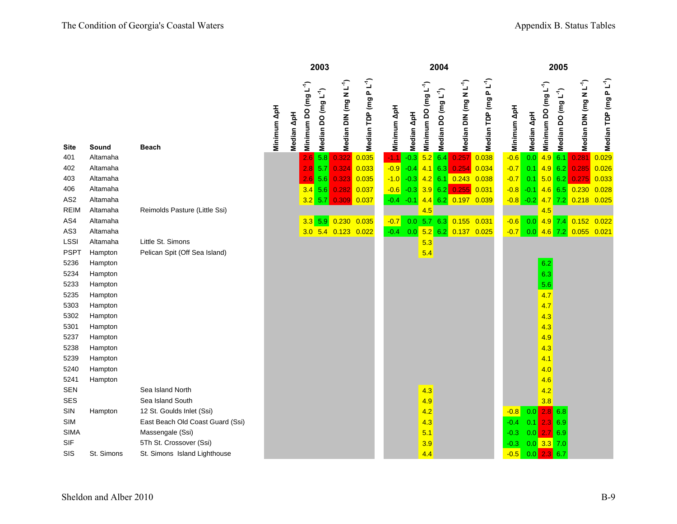|                 |            |                                  |             |                                                | 2003                            |                                    |                                   |             |             |                                  | 2004                            |                                    |                                    |                  |                        |                                               | 2005                |                                    |                             |
|-----------------|------------|----------------------------------|-------------|------------------------------------------------|---------------------------------|------------------------------------|-----------------------------------|-------------|-------------|----------------------------------|---------------------------------|------------------------------------|------------------------------------|------------------|------------------------|-----------------------------------------------|---------------------|------------------------------------|-----------------------------|
| <b>Site</b>     | Sound      | <b>Beach</b>                     | Minimum ApH | Minimum DO (mg L <sup>-1</sup> )<br>Median ApH | Median DO (mg L <sup>-1</sup> ) | Median DIN (mg N L <sup>-1</sup> ) | Median TDP (mg PL <sup>-1</sup> ) | Minimum ApH | Median ApH  | Minimum DO (mg L <sup>-1</sup> ) | Median DO (mg L <sup>-1</sup> ) | Median DIN (mg N L <sup>-1</sup> ) | Median TDP (mg P L <sup>-1</sup> ) | Minimum ApH      | $\Delta p$ H<br>Median | $($ mg L <sup>-1</sup><br><b>O</b><br>Minimum | ្ម<br>Median DO (mg | Median DIN (mg N L <sup>-1</sup> ) | $PL^{-1}$<br>Median TDP (mg |
| 401             | Altamaha   |                                  |             | 2.6                                            | 5.8                             | 0.322                              | 0.035                             | $-1.1$      | $-0.3$      | 5.2                              | 6.4                             | 0.257                              | 0.038                              | $-0.6$           | 0.0                    |                                               | $4.9$ 6.1           | 0.281                              | 0.029                       |
| 402             | Altamaha   |                                  |             | 2.8                                            | 5.7                             | 0.324                              | 0.033                             | $-0.9$      | $-0.4$      | 4.1                              | 6.3                             | 0.254                              | 0.034                              | $-0.7$           | 0.1                    |                                               | $4.9$ 6.2           | 0.285                              | 0.026                       |
| 403             | Altamaha   |                                  |             |                                                | 5.6<br>2.6                      | 0.323                              | 0.035                             | $-1.0$      | $-0.3$      | 4.2                              |                                 | $6.1$ 0.243                        | 0.038                              | $-0.7$           | 0.1                    |                                               | 5.0 6.2             | 0.275                              | 0.033                       |
| 406             | Altamaha   |                                  |             |                                                | 3.4<br>5.6                      |                                    | $0.282$ $0.037$                   | $-0.6$      | $-0.3$      |                                  | 3.962                           | 0.255                              | 0.031                              | $-0.8$           | $-0.1$                 |                                               | $4.6$ 6.5           | 0.230                              | 0.028                       |
| AS <sub>2</sub> | Altamaha   |                                  |             |                                                | $3.2$ 5.7                       |                                    | 0.309 0.037                       |             | $-0.4 -0.1$ |                                  |                                 | 4.4 6.2 0.197 0.039                |                                    | $-0.8 - 0.2$     |                        |                                               | $4.7$ 7.2           | 0.218 0.025                        |                             |
| <b>REIM</b>     | Altamaha   | Reimolds Pasture (Little Ssi)    |             |                                                |                                 |                                    |                                   |             |             | 4.5                              |                                 |                                    |                                    |                  |                        | 4.5                                           |                     |                                    |                             |
| AS4             | Altamaha   |                                  |             |                                                | $3.3$ 5.9                       | 0.230                              | 0.035                             | $-0.7$      |             |                                  |                                 | 0.0 5.7 6.3 0.155 0.031            |                                    | $-0.6$           | 0.0                    | $4.9$ 7.4                                     |                     | $0.152$ $0.022$                    |                             |
| AS3             | Altamaha   |                                  |             |                                                |                                 | 3.0 5.4 0.123 0.022                |                                   | $-0.4$      | 0.0         |                                  |                                 | $5.2$ 6.2 0.137                    | 0.025                              | $-0.7$           | 0.0                    |                                               | $4.6$ 7.2           | $0.055$ $0.021$                    |                             |
| <b>LSSI</b>     | Altamaha   | Little St. Simons                |             |                                                |                                 |                                    |                                   |             |             | 5.3                              |                                 |                                    |                                    |                  |                        |                                               |                     |                                    |                             |
| <b>PSPT</b>     | Hampton    | Pelican Spit (Off Sea Island)    |             |                                                |                                 |                                    |                                   |             |             | 5.4                              |                                 |                                    |                                    |                  |                        |                                               |                     |                                    |                             |
| 5236            | Hampton    |                                  |             |                                                |                                 |                                    |                                   |             |             |                                  |                                 |                                    |                                    |                  |                        | 6.2                                           |                     |                                    |                             |
| 5234            | Hampton    |                                  |             |                                                |                                 |                                    |                                   |             |             |                                  |                                 |                                    |                                    |                  |                        | 6.3                                           |                     |                                    |                             |
| 5233            | Hampton    |                                  |             |                                                |                                 |                                    |                                   |             |             |                                  |                                 |                                    |                                    |                  |                        | 5.6                                           |                     |                                    |                             |
| 5235            | Hampton    |                                  |             |                                                |                                 |                                    |                                   |             |             |                                  |                                 |                                    |                                    |                  |                        | 4.7                                           |                     |                                    |                             |
| 5303            | Hampton    |                                  |             |                                                |                                 |                                    |                                   |             |             |                                  |                                 |                                    |                                    |                  |                        | 4.7                                           |                     |                                    |                             |
| 5302            | Hampton    |                                  |             |                                                |                                 |                                    |                                   |             |             |                                  |                                 |                                    |                                    |                  |                        | 4.3                                           |                     |                                    |                             |
| 5301            | Hampton    |                                  |             |                                                |                                 |                                    |                                   |             |             |                                  |                                 |                                    |                                    |                  |                        | 4.3                                           |                     |                                    |                             |
| 5237            | Hampton    |                                  |             |                                                |                                 |                                    |                                   |             |             |                                  |                                 |                                    |                                    |                  |                        | 4.9                                           |                     |                                    |                             |
| 5238            | Hampton    |                                  |             |                                                |                                 |                                    |                                   |             |             |                                  |                                 |                                    |                                    |                  |                        | 4.3                                           |                     |                                    |                             |
| 5239<br>5240    | Hampton    |                                  |             |                                                |                                 |                                    |                                   |             |             |                                  |                                 |                                    |                                    |                  |                        | 4.1                                           |                     |                                    |                             |
| 5241            | Hampton    |                                  |             |                                                |                                 |                                    |                                   |             |             |                                  |                                 |                                    |                                    |                  |                        | 4.0                                           |                     |                                    |                             |
| <b>SEN</b>      | Hampton    | Sea Island North                 |             |                                                |                                 |                                    |                                   |             |             |                                  |                                 |                                    |                                    |                  |                        | 4.6                                           |                     |                                    |                             |
| <b>SES</b>      |            | Sea Island South                 |             |                                                |                                 |                                    |                                   |             |             | 4.3                              |                                 |                                    |                                    |                  |                        | 4.2                                           |                     |                                    |                             |
| SIN             | Hampton    | 12 St. Goulds Inlet (Ssi)        |             |                                                |                                 |                                    |                                   |             |             | 4.9<br>4.2                       |                                 |                                    |                                    |                  |                        | 3.8<br>2.8                                    | 6.8                 |                                    |                             |
| <b>SIM</b>      |            | East Beach Old Coast Guard (Ssi) |             |                                                |                                 |                                    |                                   |             |             |                                  |                                 |                                    |                                    | $-0.8$<br>$-0.4$ | 0.0                    | 2.                                            | 6.9                 |                                    |                             |
| <b>SIMA</b>     |            | Massengale (Ssi)                 |             |                                                |                                 |                                    |                                   |             |             | 4.3<br>5.1                       |                                 |                                    |                                    | $-0.3$           | 0.1<br>0.0             | $\overline{2}$ .                              | 6.9                 |                                    |                             |
| SIF             |            | 5Th St. Crossover (Ssi)          |             |                                                |                                 |                                    |                                   |             |             | 3.9                              |                                 |                                    |                                    | $-0.3$           |                        | $0.0$ 3.3 7.0                                 |                     |                                    |                             |
| SIS             | St. Simons | St. Simons Island Lighthouse     |             |                                                |                                 |                                    |                                   |             |             | 4.4                              |                                 |                                    |                                    | $-0.5$           | 0.0                    | 2.3                                           | 6.7                 |                                    |                             |
|                 |            |                                  |             |                                                |                                 |                                    |                                   |             |             |                                  |                                 |                                    |                                    |                  |                        |                                               |                     |                                    |                             |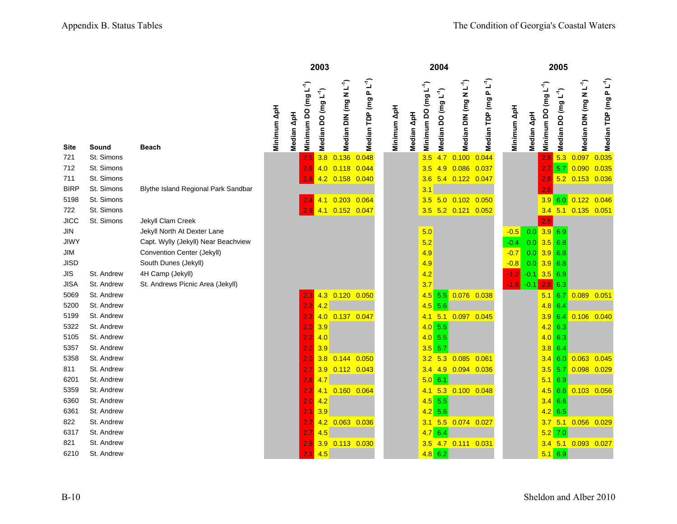|             |            |                                     |             |            |                                  | 2003                            |                                    |                           |             |            |                                  | 2004                            |                                    |                                    |             |            |                                  | 2005                            |                                          |                                   |
|-------------|------------|-------------------------------------|-------------|------------|----------------------------------|---------------------------------|------------------------------------|---------------------------|-------------|------------|----------------------------------|---------------------------------|------------------------------------|------------------------------------|-------------|------------|----------------------------------|---------------------------------|------------------------------------------|-----------------------------------|
| <b>Site</b> | Sound      | <b>Beach</b>                        | Minimum ApH | Median ApH | Minimum DO (mg L <sup>-1</sup> ) | Median DO (mg L <sup>-1</sup> ) | Median DIN (mg N L <sup>-1</sup> ) | $PL^4)$<br>Median TDP (mg | Minimum ApH | Median ApH | Minimum DO (mg L <sup>-1</sup> ) | Median DO (mg L <sup>-1</sup> ) | Median DIN (mg N L <sup>-1</sup> ) | Median TDP (mg P L <sup>-1</sup> ) | Minimum ApH | Median ApH | Minimum DO (mg L <sup>-1</sup> ) | Median DO (mg L <sup>-1</sup> ) | $\tilde{\mathbb{L}}$<br>Median DIN (mg N | Median TDP (mg PL <sup>-1</sup> ) |
| 721         | St. Simons |                                     |             |            | 2.5                              | 3.8                             | 0.136                              | 0.048                     |             |            | 3.5                              | 4.7                             | 0.100                              | 0.044                              |             |            | 2.8                              | 5.3                             | 0.097                                    | 0.035                             |
| 712         | St. Simons |                                     |             |            | 2.6                              |                                 | 4.0 0.118 0.044                    |                           |             |            | 3.5                              | 4.9                             | 0.086 0.037                        |                                    |             |            |                                  | 5.7                             | 0.090                                    | 0.035                             |
| 711         | St. Simons |                                     |             |            | 2.8                              |                                 | 4.2 0.158 0.040                    |                           |             |            | 3.6                              |                                 | 5.4 0.122 0.047                    |                                    |             |            | 2.8                              |                                 | 5.2 0.153 0.036                          |                                   |
| <b>BIRP</b> | St. Simons | Blythe Island Regional Park Sandbar |             |            |                                  |                                 |                                    |                           |             |            | 3.1                              |                                 |                                    |                                    |             |            | 2.6                              |                                 |                                          |                                   |
| 5198        | St. Simons |                                     |             |            | 2.4                              | 4.1                             | 0.203                              | 0.064                     |             |            | 3.5                              | 5.0                             | $0.102$ $0.050$                    |                                    |             |            | 3.9                              | 6.0                             | 0.122                                    | 0.046                             |
| 722         | St. Simons |                                     |             |            | 2.9                              | 4.1                             | $0.152$ 0.047                      |                           |             |            | 3.5                              |                                 | 5.2 0.121 0.052                    |                                    |             |            |                                  |                                 | 3.4 5.1 0.135 0.051                      |                                   |
| <b>JICC</b> | St. Simons | Jekyll Clam Creek                   |             |            |                                  |                                 |                                    |                           |             |            |                                  |                                 |                                    |                                    |             |            | 2.5                              |                                 |                                          |                                   |
| JIN         |            | Jekyll North At Dexter Lane         |             |            |                                  |                                 |                                    |                           |             |            | 5.0                              |                                 |                                    |                                    | $-0.5$      | 0.0        | $3.9$ 6.9                        |                                 |                                          |                                   |
| <b>JIWY</b> |            | Capt. Wylly (Jekyll) Near Beachview |             |            |                                  |                                 |                                    |                           |             |            | 5.2                              |                                 |                                    |                                    | $-0.4$      | 0.0        | $3.5$ 6.8                        |                                 |                                          |                                   |
| JIM         |            | Convention Center (Jekyll)          |             |            |                                  |                                 |                                    |                           |             |            | 4.9                              |                                 |                                    |                                    | $-0.7$      | 0.0        | $3.9$ 6.8                        |                                 |                                          |                                   |
| <b>JISD</b> |            | South Dunes (Jekyll)                |             |            |                                  |                                 |                                    |                           |             |            | 4.9                              |                                 |                                    |                                    | $-0.8$      |            | $0.0$ 3.9 6.8                    |                                 |                                          |                                   |
| <b>JIS</b>  | St. Andrew | 4H Camp (Jekyll)                    |             |            |                                  |                                 |                                    |                           |             |            | 4.2                              |                                 |                                    |                                    | $-1.2$      |            | $-0.1$ 3.5 6.9                   |                                 |                                          |                                   |
| <b>JISA</b> | St. Andrew | St. Andrews Picnic Area (Jekyll)    |             |            |                                  |                                 |                                    |                           |             |            | 3.7                              |                                 |                                    |                                    | $-1.8$      | $-0.1$     | 2.9                              | 6.3                             |                                          |                                   |
| 5069        | St. Andrew |                                     |             |            | 2.3                              |                                 | 4.3 0.120 0.050                    |                           |             |            | $4.5$ 5.5                        |                                 | 0.076 0.038                        |                                    |             |            | 5.1                              | 6.7                             | 0.089 0.051                              |                                   |
| 5200        | St. Andrew |                                     |             |            | 2.2                              | 4.2                             |                                    |                           |             |            | $4.5$ 5.6                        |                                 |                                    |                                    |             |            | $4.8$ 6.4                        |                                 |                                          |                                   |
| 5199        | St. Andrew |                                     |             |            | 2.2                              | 4.0                             | $0.137$ 0.047                      |                           |             |            | 4.1                              | 5.1                             | 0.097 0.045                        |                                    |             |            | 3.9                              | 6.4                             | $0.106$ $0.040$                          |                                   |
| 5322        | St. Andrew |                                     |             |            | 2.0                              | 3.9                             |                                    |                           |             |            | 4.0 5.5                          |                                 |                                    |                                    |             |            |                                  | $4.2$ 6.3                       |                                          |                                   |
| 5105        | St. Andrew |                                     |             |            | 2.2                              | 4.0                             |                                    |                           |             |            | $4.0$ 5.5                        |                                 |                                    |                                    |             |            |                                  | 4.0 6.3                         |                                          |                                   |
| 5357        | St. Andrew |                                     |             |            | 2.0                              | 3.9                             |                                    |                           |             |            | $3.5$ 5.7                        |                                 |                                    |                                    |             |            |                                  | $3.8\ 6.4$                      |                                          |                                   |
| 5358        | St. Andrew |                                     |             |            | 2.0                              | 3.8                             | $0.144$ 0.050                      |                           |             |            | 3.2                              | 5.3                             | 0.085                              | 0.061                              |             |            | 3.4                              | 6.0                             | $0.063$ $0.045$                          |                                   |
| 811         | St. Andrew |                                     |             |            | 2.7                              |                                 | 3.9 0.112 0.043                    |                           |             |            |                                  | $3.4$ 4.9                       | 0.094 0.036                        |                                    |             |            |                                  | $3.5$ 5.7                       | 0.098 0.029                              |                                   |
| 6201        | St. Andrew |                                     |             |            | 2.6                              | 4.7                             |                                    |                           |             |            | 5.0 6.1                          |                                 |                                    |                                    |             |            |                                  | $5.1$ 6.9                       |                                          |                                   |
| 5359        | St. Andrew |                                     |             |            | 2.2                              | 4.1                             | $0.160$ $0.064$                    |                           |             |            | 4.1                              | 5.3                             | $0.100$ $0.048$                    |                                    |             |            | 4.5                              | 6.6                             | $0.103$ 0.056                            |                                   |
| 6360        | St. Andrew |                                     |             |            | 2.0                              | 4.2                             |                                    |                           |             |            | $4.5$ 5.5                        |                                 |                                    |                                    |             |            |                                  | $3.4$ 6.6                       |                                          |                                   |
| 6361        | St. Andrew |                                     |             |            | 2.1                              | 3.9                             |                                    |                           |             |            | $4.2$ 5.6                        |                                 |                                    |                                    |             |            |                                  | $4.2$ 6.5                       |                                          |                                   |
| 822         | St. Andrew |                                     |             |            | 2.7                              |                                 | 4.2 0.063 0.036                    |                           |             |            |                                  | $3.1\quad 5.5$                  | $0.074$ 0.027                      |                                    |             |            | 3.7                              |                                 | 5.1 0.056 0.029                          |                                   |
| 6317        | St. Andrew |                                     |             |            | 2.7                              | 4.5                             |                                    |                           |             |            | 4.76.4                           |                                 |                                    |                                    |             |            |                                  | $5.2$ 7.0                       |                                          |                                   |
| 821         | St. Andrew |                                     |             |            | 2.8                              | 3.9                             | $0.113$ $0.030$                    |                           |             |            | 3.5                              | 4.7                             | $0.111$ $0.031$                    |                                    |             |            |                                  | $3.4$ 5.1                       | $0.093$ $0.027$                          |                                   |
| 6210        | St. Andrew |                                     |             |            | 2.1                              | 4.5                             |                                    |                           |             |            | $4.8$ 6.2                        |                                 |                                    |                                    |             |            |                                  | $5.1$ 6.9                       |                                          |                                   |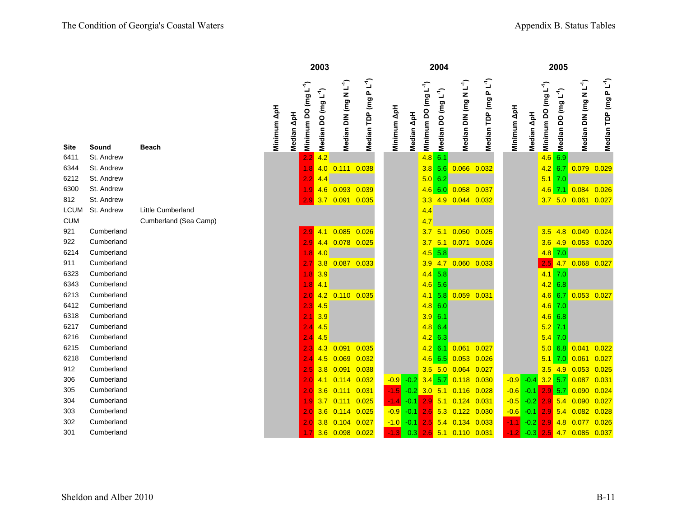|             |            |                       |             |            |                                  | 2003                            |                                    |                                    |             |            |                                  | 2004                            |                                    |                                    |             |            |                                  | 2005                            |                                    |                                    |
|-------------|------------|-----------------------|-------------|------------|----------------------------------|---------------------------------|------------------------------------|------------------------------------|-------------|------------|----------------------------------|---------------------------------|------------------------------------|------------------------------------|-------------|------------|----------------------------------|---------------------------------|------------------------------------|------------------------------------|
| <b>Site</b> | Sound      | <b>Beach</b>          | Minimum ApH | Median ApH | Minimum DO (mg L <sup>-1</sup> ) | Median DO (mg L <sup>-1</sup> ) | Median DIN (mg N L <sup>-1</sup> ) | $P L^{\uparrow}$<br>Median TDP (mg | Minimum ApH | Median ApH | Minimum DO (mg L <sup>-1</sup> ) | Median DO (mg L <sup>-1</sup> ) | Median DIN (mg N L <sup>-1</sup> ) | PL' <sup>1</sup><br>Median TDP (mg | Minimum ApH | Median ApH | Minimum DO (mg L <sup>-1</sup> ) | Median DO (mg L <sup>-1</sup> ) | Median DIN (mg N L <sup>-1</sup> ) | Median TDP (mg P L <sup>-1</sup> ) |
| 6411        | St. Andrew |                       |             |            | 2.2                              | 4.2                             |                                    |                                    |             |            | 4.8                              | 6.1                             |                                    |                                    |             |            | 4.6                              | 6.9                             |                                    |                                    |
| 6344        | St. Andrew |                       |             |            | 1.8                              |                                 | 4.0 0.111 0.038                    |                                    |             |            | 3.8                              | 5.6                             | $0.066$ $0.032$                    |                                    |             |            | 4.2                              | 6.7                             | 0.079 0.029                        |                                    |
| 6212        | St. Andrew |                       |             |            | 2.2                              | 4.4                             |                                    |                                    |             |            | 5.0 6.2                          |                                 |                                    |                                    |             |            |                                  | $5.1$ 7.0                       |                                    |                                    |
| 6300        | St. Andrew |                       |             |            | 1.9 <sup>°</sup>                 |                                 | 4.6 0.093 0.039                    |                                    |             |            | 4.6                              | 6.0                             | 0.058                              | 0.037                              |             |            | 4.6                              | 7.1                             | 0.084                              | 0.026                              |
| 812         | St. Andrew |                       |             |            | 2.9                              |                                 | 3.7 0.091 0.035                    |                                    |             |            | 3.3                              | 4.9                             | $0.044$ 0.032                      |                                    |             |            |                                  |                                 | 3.7 5.0 0.061 0.027                |                                    |
| <b>LCUM</b> | St. Andrew | Little Cumberland     |             |            |                                  |                                 |                                    |                                    |             |            | 4.4                              |                                 |                                    |                                    |             |            |                                  |                                 |                                    |                                    |
| <b>CUM</b>  |            | Cumberland (Sea Camp) |             |            |                                  |                                 |                                    |                                    |             |            | 4.7                              |                                 |                                    |                                    |             |            |                                  |                                 |                                    |                                    |
| 921         | Cumberland |                       |             |            |                                  | $2.9$ 4.1                       | $0.085$ 0.026                      |                                    |             |            | 3.7                              | 5.1                             | 0.050                              | 0.025                              |             |            | 3.5                              | 4.8                             | 0.049                              | 0.024                              |
| 922         | Cumberland |                       |             |            | 2.9                              |                                 | 4.4 0.078 0.025                    |                                    |             |            | 3.7                              | 5.1                             | $0.071$ 0.026                      |                                    |             |            | 3.6                              | 4.9                             | $0.053$ $0.020$                    |                                    |
| 6214        | Cumberland |                       |             |            | 1.8                              | 4.0                             |                                    |                                    |             |            |                                  | $4.5$ 5.8                       |                                    |                                    |             |            | 4.8                              | 7.0                             |                                    |                                    |
| 911         | Cumberland |                       |             |            | 2.7 <sub>2</sub>                 | 3.8                             | $0.087$ 0.033                      |                                    |             |            | 3.9                              | 4.7                             | $0.060$ $0.033$                    |                                    |             |            | 2.5                              | 4.7                             | $0.068$ $0.027$                    |                                    |
| 6323        | Cumberland |                       |             |            | $1.8$ 3.9                        |                                 |                                    |                                    |             |            |                                  | $4.4$ 5.8                       |                                    |                                    |             |            |                                  | $4.1$ 7.0                       |                                    |                                    |
| 6343        | Cumberland |                       |             |            | 1.8                              | 4.1                             |                                    |                                    |             |            | $4.6$ 5.6                        |                                 |                                    |                                    |             |            | 4.2                              | 6.8                             |                                    |                                    |
| 6213        | Cumberland |                       |             |            | 2.0                              | 4.2                             | $0.110$ $0.035$                    |                                    |             |            | 4.1                              | 5.8                             | 0.059 0.031                        |                                    |             |            | 4.6                              | 6.7                             | $0.053$ 0.027                      |                                    |
| 6412        | Cumberland |                       |             |            | $2.3 \, 4.5$                     |                                 |                                    |                                    |             |            | 4.8                              | 6.0                             |                                    |                                    |             |            | 4.6                              | 7.0                             |                                    |                                    |
| 6318        | Cumberland |                       |             |            | 2.1                              | 3.9                             |                                    |                                    |             |            | 3.9                              | 6.1                             |                                    |                                    |             |            |                                  | $4.6$ 6.8                       |                                    |                                    |
| 6217        | Cumberland |                       |             |            | $2.4$ 4.5                        |                                 |                                    |                                    |             |            | $4.8$ 6.4                        |                                 |                                    |                                    |             |            | 5.2                              | 7.1                             |                                    |                                    |
| 6216        | Cumberland |                       |             |            | 2.4                              | 4.5                             |                                    |                                    |             |            | 4.2                              | 6.3                             |                                    |                                    |             |            | 5.4                              | 7.0                             |                                    |                                    |
| 6215        | Cumberland |                       |             |            | 2.3                              | 4.3                             | 0.091                              | 0.035                              |             |            |                                  | $4.2 \ 6.1$                     | 0.061                              | 0.027                              |             |            | 5.0                              | 6.8                             | 0.041                              | 0.022                              |
| 6218        | Cumberland |                       |             |            | 2.4.                             | 4.5                             | 0.069                              | 0.032                              |             |            | 4.6                              | 6.5                             | 0.053                              | 0.026                              |             |            | 5.1                              | 7.0                             | 0.061                              | 0.027                              |
| 912         | Cumberland |                       |             |            |                                  | 3.8                             | 0.091                              | 0.038                              |             |            | 3.5                              | 5.0                             | $0.064$ 0.027                      |                                    |             |            | 3.5                              | 4.9                             | 0.053                              | 0.025                              |
| 306         | Cumberland |                       |             |            | $2.0\,$                          | 4.1                             | $0.114$ $0.032$                    |                                    | $-0.9$      | $-0.2$     | 3.4                              | 5.7                             | 0.118                              | 0.030                              | $-0.9$      | $-0.4$     |                                  | $3.2$ 5.7                       | 0.087                              | 0.031                              |
| 305         | Cumberland |                       |             |            |                                  | 3.6                             | $0.111$ $0.031$                    |                                    | $-1.5$      | $-0.2$     | 3.0                              |                                 | $5.1$ 0.116 0.028                  |                                    | $-0.6$      | $-0.1$     | 2.9                              | 5.7                             | 0.090                              | 0.024                              |
| 304         | Cumberland |                       |             |            | 1.9                              | 3.7                             | 0.111                              | 0.025                              | $-1.4$      | $-0.1$     |                                  |                                 | 2.9 5.1 0.124 0.031                |                                    | $-0.5$      | $-0.2$     |                                  | $2.9 \, 5.4$                    | 0.090                              | 0.027                              |
| 303         | Cumberland |                       |             |            | $2.0^{\circ}$                    | 3.6                             | 0.114                              | 0.025                              | $-0.9$      | $-0.1$     |                                  | $2.6$ 5.3                       | 0.122                              | 0.030                              | $-0.6$      | $-0.1$     | 2.9                              | 5.4                             | 0.082                              | 0.028                              |
| 302         | Cumberland |                       |             |            | 2.0 <sub>1</sub>                 | 3.8                             | $0.104$ 0.027                      |                                    | $-1.0$      | $-0.1$     |                                  |                                 | $2.5$ 5.4 0.134 0.033              |                                    | $-1.1$      | $-0.2$     | 2.9                              | 4.8                             | 0.077                              | 0.026                              |
| 301         | Cumberland |                       |             |            |                                  |                                 | 1.7 3.6 0.098 0.022                |                                    | $-1.3$      | 0.3        |                                  |                                 | 2.6 5.1 0.110 0.031                |                                    | $-1.2$      | $-0.3$     |                                  | $2.5$ 4.7                       | 0.085                              | 0.037                              |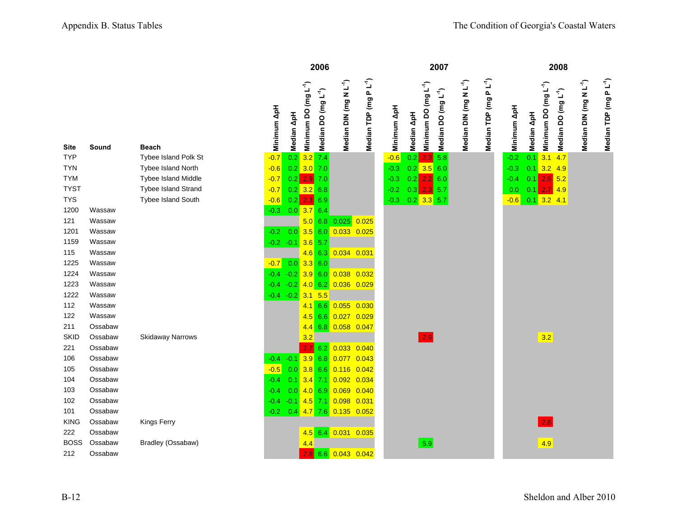|             |         |                         |             |            |                                  | 2006                            |                                    |                                   |             |            |                                  | 2007                            |                                    |                                   |             |            | 2008                                                                |                                    |                                   |
|-------------|---------|-------------------------|-------------|------------|----------------------------------|---------------------------------|------------------------------------|-----------------------------------|-------------|------------|----------------------------------|---------------------------------|------------------------------------|-----------------------------------|-------------|------------|---------------------------------------------------------------------|------------------------------------|-----------------------------------|
| Site        | Sound   | <b>Beach</b>            | Minimum ApH | Median ApH | Minimum DO (mg L <sup>-1</sup> ) | Median DO (mg L <sup>-1</sup> ) | Median DIN (mg N L <sup>-1</sup> ) | Median TDP (mg PL <sup>-1</sup> ) | Minimum ApH | Median ApH | Minimum DO (mg L <sup>-1</sup> ) | Median DO (mg L <sup>-1</sup> ) | Median DIN (mg N L <sup>-1</sup> ) | Median TDP (mg PL <sup>-1</sup> ) | Minimum ApH | Median ApH | Minimum DO (mg L <sup>-1</sup> )<br>Median DO (mg L <sup>-1</sup> ) | Median DIN (mg N L <sup>-1</sup> ) | Median TDP (mg PL <sup>-1</sup> ) |
| <b>TYP</b>  |         | Tybee Island Polk St    | $-0.7$      | 0.2        |                                  | $3.2 \overline{7.4}$            |                                    |                                   | $-0.6$      | 0.2        | $2.3 \ 5.8$                      |                                 |                                    |                                   | $-0.2$      | 0.1        | 3.1<br>4.7                                                          |                                    |                                   |
| TYN         |         | Tybee Island North      | $-0.6$      |            | $0.2$ 3.0 7.0                    |                                 |                                    |                                   | $-0.3$      |            | $0.2$ 3.5 6.0                    |                                 |                                    |                                   | $-0.3$      | 0.1        | $3.2$ 4.9                                                           |                                    |                                   |
| <b>TYM</b>  |         | Tybee Island Middle     | $-0.7$      |            | $0.2$ 2.9 7.0                    |                                 |                                    |                                   | $-0.3$      | 0.2        | 2.2 6.0                          |                                 |                                    |                                   | $-0.4$      | 0.1        | $2.9$ 5.2                                                           |                                    |                                   |
| <b>TYST</b> |         | Tybee Island Strand     | $-0.7$      |            | $0.2$ 3.2 6.8                    |                                 |                                    |                                   | $-0.2$      |            | $0.3$ 2.3 5.7                    |                                 |                                    |                                   | 0.0         | 0.1        | $2.7$ 4.9                                                           |                                    |                                   |
| <b>TYS</b>  |         | Tybee Island South      | $-0.6$      | 0.2        |                                  | $2.3 \ 6.9$                     |                                    |                                   | $-0.3$      |            | $0.2$ 3.3 5.7                    |                                 |                                    |                                   | $-0.6$      |            | $0.1$ 3.2 4.1                                                       |                                    |                                   |
| 1200        | Wassaw  |                         | $-0.3$      |            | 0.0 3.7                          | 6.4                             |                                    |                                   |             |            |                                  |                                 |                                    |                                   |             |            |                                                                     |                                    |                                   |
| 121         | Wassaw  |                         |             |            |                                  |                                 | $5.0$ 6.8 0.025 0.025              |                                   |             |            |                                  |                                 |                                    |                                   |             |            |                                                                     |                                    |                                   |
| 1201        | Wassaw  |                         | $-0.2$      | 0.0        |                                  | $3.5$ 6.0                       | 0.033 0.025                        |                                   |             |            |                                  |                                 |                                    |                                   |             |            |                                                                     |                                    |                                   |
| 1159        | Wassaw  |                         | $-0.2 -0.1$ |            |                                  | $3.6$ 5.7                       |                                    |                                   |             |            |                                  |                                 |                                    |                                   |             |            |                                                                     |                                    |                                   |
| 115         | Wassaw  |                         |             |            |                                  | $4.6$ 6.3                       | 0.034 0.031                        |                                   |             |            |                                  |                                 |                                    |                                   |             |            |                                                                     |                                    |                                   |
| 1225        | Wassaw  |                         | $-0.7$      | 0.0        |                                  | 3.360                           |                                    |                                   |             |            |                                  |                                 |                                    |                                   |             |            |                                                                     |                                    |                                   |
| 1224        | Wassaw  |                         | $-0.4$      | $-0.2$     |                                  | 3.960                           | 0.038 0.032                        |                                   |             |            |                                  |                                 |                                    |                                   |             |            |                                                                     |                                    |                                   |
| 1223        | Wassaw  |                         | $-0.4$      | $-0.2$     |                                  | 4.0 6.2                         | 0.036 0.029                        |                                   |             |            |                                  |                                 |                                    |                                   |             |            |                                                                     |                                    |                                   |
| 1222        | Wassaw  |                         | $-0.4 -0.2$ |            | 3.1                              | 5.5                             |                                    |                                   |             |            |                                  |                                 |                                    |                                   |             |            |                                                                     |                                    |                                   |
| 112         | Wassaw  |                         |             |            |                                  | $4.1 \ 6.6$                     | 0.055 0.030                        |                                   |             |            |                                  |                                 |                                    |                                   |             |            |                                                                     |                                    |                                   |
| 122         | Wassaw  |                         |             |            | 4.5                              | 6.6                             | 0.027                              | 0.029                             |             |            |                                  |                                 |                                    |                                   |             |            |                                                                     |                                    |                                   |
| 211         | Ossabaw |                         |             |            | 4.4                              | 6.8                             | 0.058 0.047                        |                                   |             |            |                                  |                                 |                                    |                                   |             |            |                                                                     |                                    |                                   |
| <b>SKID</b> | Ossabaw | <b>Skidaway Narrows</b> |             |            | 3.2                              |                                 |                                    |                                   |             |            | 2.9                              |                                 |                                    |                                   |             |            | 3.2                                                                 |                                    |                                   |
| 221         | Ossabaw |                         |             |            | 2.7                              | 6.2                             | $0.033$ $0.040$                    |                                   |             |            |                                  |                                 |                                    |                                   |             |            |                                                                     |                                    |                                   |
| 106         | Ossabaw |                         | $-0.4$      | $-0.1$     |                                  | $3.9$ 6.8                       | 0.077                              | 0.043                             |             |            |                                  |                                 |                                    |                                   |             |            |                                                                     |                                    |                                   |
| 105         | Ossabaw |                         | $-0.5$      | 0.0        |                                  | $3.8$ 6.6                       | 0.116                              | 0.042                             |             |            |                                  |                                 |                                    |                                   |             |            |                                                                     |                                    |                                   |
| 104         | Ossabaw |                         | $-0.4$      | 0.1        | $3.4$ 7.1                        |                                 | $0.092$ $0.034$                    |                                   |             |            |                                  |                                 |                                    |                                   |             |            |                                                                     |                                    |                                   |
| 103         | Ossabaw |                         | $-0.4$      | 0.0        |                                  | 4.066.9                         | 0.069 0.040                        |                                   |             |            |                                  |                                 |                                    |                                   |             |            |                                                                     |                                    |                                   |
| 102         | Ossabaw |                         | $-0.4$      | $-0.1$     |                                  | $4.5$ 7.1                       | 0.098 0.031                        |                                   |             |            |                                  |                                 |                                    |                                   |             |            |                                                                     |                                    |                                   |
| 101         | Ossabaw |                         | $-0.2$      | 0.4        |                                  | $4.7$ 7.6                       | $0.135$ 0.052                      |                                   |             |            |                                  |                                 |                                    |                                   |             |            |                                                                     |                                    |                                   |
| <b>KING</b> | Ossabaw | Kings Ferry             |             |            |                                  |                                 |                                    |                                   |             |            |                                  |                                 |                                    |                                   |             |            | 2.8                                                                 |                                    |                                   |
| 222         | Ossabaw |                         |             |            |                                  | $4.5$ 6.4                       | 0.031 0.035                        |                                   |             |            |                                  |                                 |                                    |                                   |             |            |                                                                     |                                    |                                   |
| <b>BOSS</b> | Ossabaw | Bradley (Ossabaw)       |             |            | 4.4                              |                                 |                                    |                                   |             |            | 5.9                              |                                 |                                    |                                   |             |            | 4.9                                                                 |                                    |                                   |
| 212         | Ossabaw |                         |             |            | 2.8                              |                                 | 6.6 0.043 0.042                    |                                   |             |            |                                  |                                 |                                    |                                   |             |            |                                                                     |                                    |                                   |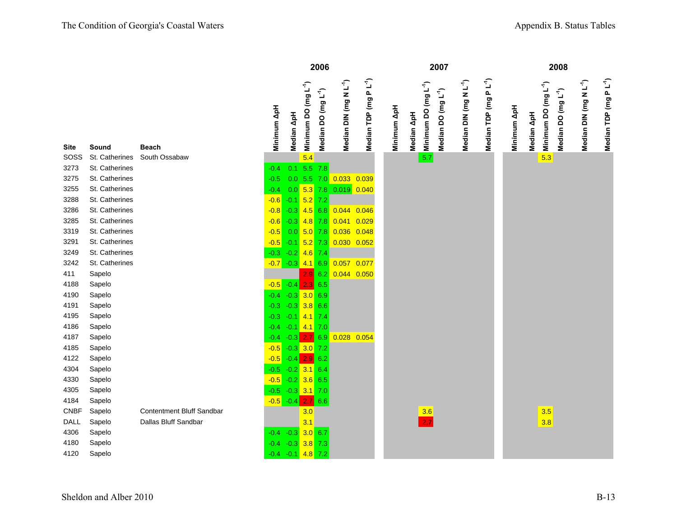|              |                  |                                  |                               |            |                                  | 2006                            |                                    |                                   |             |            |                                  | 2007                            |                                    |                                    |             |            |                                  | 2008                            |                                    |                                    |
|--------------|------------------|----------------------------------|-------------------------------|------------|----------------------------------|---------------------------------|------------------------------------|-----------------------------------|-------------|------------|----------------------------------|---------------------------------|------------------------------------|------------------------------------|-------------|------------|----------------------------------|---------------------------------|------------------------------------|------------------------------------|
| Site         | Sound            | <b>Beach</b>                     | Minimum ApH                   | Median ApH | Minimum DO (mg L <sup>-1</sup> ) | Median DO (mg L <sup>-1</sup> ) | Median DIN (mg N L <sup>-1</sup> ) | Median TDP (mg PL <sup>-1</sup> ) | Minimum ApH | Median ApH | Minimum DO (mg L <sup>-1</sup> ) | Median DO (mg L <sup>-1</sup> ) | Median DIN (mg N L <sup>-1</sup> ) | Median TDP (mg P L <sup>-1</sup> ) | Minimum ApH | Median ApH | Minimum DO (mg L <sup>-1</sup> ) | Median DO (mg L <sup>-1</sup> ) | Median DIN (mg N L <sup>-1</sup> ) | Median TDP (mg P L <sup>-1</sup> ) |
| SOSS         | St. Catherines   | South Ossabaw                    |                               |            | 5.4                              |                                 |                                    |                                   |             |            | 5.7                              |                                 |                                    |                                    |             |            | 5.3                              |                                 |                                    |                                    |
| 3273         | St. Catherines   |                                  | $-0.4$                        |            | $0.1$ 5.5 7.8                    |                                 |                                    |                                   |             |            |                                  |                                 |                                    |                                    |             |            |                                  |                                 |                                    |                                    |
| 3275         | St. Catherines   |                                  | $-0.5$                        |            |                                  |                                 | 0.0 5.5 7.0 0.033 0.039            |                                   |             |            |                                  |                                 |                                    |                                    |             |            |                                  |                                 |                                    |                                    |
| 3255         | St. Catherines   |                                  | $-0.4$                        |            |                                  |                                 | $0.0$ 5.3 7.8 0.019 0.040          |                                   |             |            |                                  |                                 |                                    |                                    |             |            |                                  |                                 |                                    |                                    |
| 3288         | St. Catherines   |                                  | $-0.6$                        | $-0.1$     | $5.2$ 7.2                        |                                 |                                    |                                   |             |            |                                  |                                 |                                    |                                    |             |            |                                  |                                 |                                    |                                    |
| 3286         | St. Catherines   |                                  | $-0.8$                        | $-0.3$     |                                  | $4.5$ 6.8                       | $0.044$ 0.046                      |                                   |             |            |                                  |                                 |                                    |                                    |             |            |                                  |                                 |                                    |                                    |
| 3285         | St. Catherines   |                                  | $-0.6$                        | $-0.3$     |                                  | $4.8$ 7.8                       | 0.041                              | 0.029                             |             |            |                                  |                                 |                                    |                                    |             |            |                                  |                                 |                                    |                                    |
| 3319         | St. Catherines   |                                  | $-0.5$                        | 0.0        | $5.0$ 7.8                        |                                 | $0.036$ $0.048$                    |                                   |             |            |                                  |                                 |                                    |                                    |             |            |                                  |                                 |                                    |                                    |
| 3291         | St. Catherines   |                                  | $-0.5$                        | $-0.1$     |                                  | $5.2$ 7.3                       | $0.030$ $0.052$                    |                                   |             |            |                                  |                                 |                                    |                                    |             |            |                                  |                                 |                                    |                                    |
| 3249         | St. Catherines   |                                  | $-0.3$                        | $-0.2$     | $4.6$ 7.4                        |                                 |                                    |                                   |             |            |                                  |                                 |                                    |                                    |             |            |                                  |                                 |                                    |                                    |
| 3242         | St. Catherines   |                                  |                               |            |                                  |                                 | 0.057 0.077                        |                                   |             |            |                                  |                                 |                                    |                                    |             |            |                                  |                                 |                                    |                                    |
| 411          | Sapelo           |                                  |                               |            |                                  | 2.9 6.2                         | 0.044 0.050                        |                                   |             |            |                                  |                                 |                                    |                                    |             |            |                                  |                                 |                                    |                                    |
| 4188         | Sapelo           |                                  | $-0.5$                        | $-0.4$     | 2.3                              | 6.5                             |                                    |                                   |             |            |                                  |                                 |                                    |                                    |             |            |                                  |                                 |                                    |                                    |
| 4190         | Sapelo           |                                  | $-0.4 -0.3$ 3.0 6.9           |            |                                  |                                 |                                    |                                   |             |            |                                  |                                 |                                    |                                    |             |            |                                  |                                 |                                    |                                    |
| 4191         | Sapelo           |                                  | $-0.3$                        |            | $-0.3$ 3.8 6.6                   |                                 |                                    |                                   |             |            |                                  |                                 |                                    |                                    |             |            |                                  |                                 |                                    |                                    |
| 4195         | Sapelo           |                                  | $-0.3$                        | $-0.1$     | $4.1$ 7.4                        |                                 |                                    |                                   |             |            |                                  |                                 |                                    |                                    |             |            |                                  |                                 |                                    |                                    |
| 4186         | Sapelo           |                                  | $-0.4$                        |            | $-0.1$ 4.1 7.0                   |                                 |                                    |                                   |             |            |                                  |                                 |                                    |                                    |             |            |                                  |                                 |                                    |                                    |
| 4187         | Sapelo           |                                  | $-0.4$                        | $-0.3$     | 2.769                            |                                 | 0.028                              | 0.054                             |             |            |                                  |                                 |                                    |                                    |             |            |                                  |                                 |                                    |                                    |
| 4185         | Sapelo           |                                  | $-0.5$                        |            | $-0.3$ 3.0 7.2                   |                                 |                                    |                                   |             |            |                                  |                                 |                                    |                                    |             |            |                                  |                                 |                                    |                                    |
| 4122         | Sapelo           |                                  | $-0.5$                        | $-0.4$     | $2.9$ 6.2                        |                                 |                                    |                                   |             |            |                                  |                                 |                                    |                                    |             |            |                                  |                                 |                                    |                                    |
| 4304<br>4330 | Sapelo<br>Sapelo |                                  | $-0.5$                        |            | $-0.2$ 3.1 6.4                   |                                 |                                    |                                   |             |            |                                  |                                 |                                    |                                    |             |            |                                  |                                 |                                    |                                    |
| 4305         | Sapelo           |                                  | $-0.5$<br>$-0.5 -0.3$ 3.1 7.0 |            | $-0.2$ 3.6 6.5                   |                                 |                                    |                                   |             |            |                                  |                                 |                                    |                                    |             |            |                                  |                                 |                                    |                                    |
| 4184         | Sapelo           |                                  | $-0.5 - 0.4$                  |            | 2.766                            |                                 |                                    |                                   |             |            |                                  |                                 |                                    |                                    |             |            |                                  |                                 |                                    |                                    |
| <b>CNBF</b>  | Sapelo           | <b>Contentment Bluff Sandbar</b> |                               |            | 3.0                              |                                 |                                    |                                   |             |            | 3.6                              |                                 |                                    |                                    |             |            | 3.5                              |                                 |                                    |                                    |
| DALL         | Sapelo           | Dallas Bluff Sandbar             |                               |            | 3.1                              |                                 |                                    |                                   |             |            | 2.7                              |                                 |                                    |                                    |             |            | 3.8                              |                                 |                                    |                                    |
| 4306         | Sapelo           |                                  | $-0.4$                        | $-0.3$     | 3.0 6.7                          |                                 |                                    |                                   |             |            |                                  |                                 |                                    |                                    |             |            |                                  |                                 |                                    |                                    |
| 4180         | Sapelo           |                                  | $-0.4$                        |            | $-0.3$ 3.8 7.3                   |                                 |                                    |                                   |             |            |                                  |                                 |                                    |                                    |             |            |                                  |                                 |                                    |                                    |
| 4120         | Sapelo           |                                  | $-0.4 -0.1$ 4.8 7.2           |            |                                  |                                 |                                    |                                   |             |            |                                  |                                 |                                    |                                    |             |            |                                  |                                 |                                    |                                    |
|              |                  |                                  |                               |            |                                  |                                 |                                    |                                   |             |            |                                  |                                 |                                    |                                    |             |            |                                  |                                 |                                    |                                    |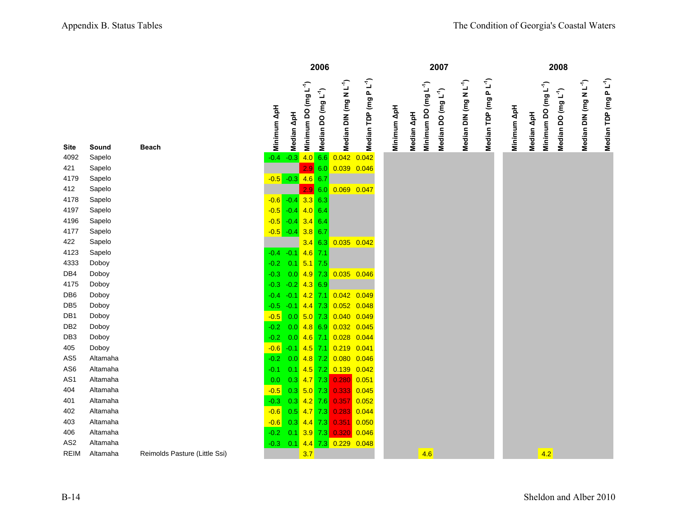|                 |          |                               |             |                          |                                  | 2006                            |                                                                            |                                   |             |            |                                  | 2007                            |                                    |                                   |             |            |                                  | 2008                            |                                    |                                    |
|-----------------|----------|-------------------------------|-------------|--------------------------|----------------------------------|---------------------------------|----------------------------------------------------------------------------|-----------------------------------|-------------|------------|----------------------------------|---------------------------------|------------------------------------|-----------------------------------|-------------|------------|----------------------------------|---------------------------------|------------------------------------|------------------------------------|
| Site            | Sound    | <b>Beach</b>                  | Minimum ApH | Median ApH               | Minimum DO (mg L <sup>-1</sup> ) | Median DO (mg L <sup>-1</sup> ) | Median DIN (mg N L <sup>-1</sup> )                                         | Median TDP (mg PL <sup>-1</sup> ) | Minimum ApH | Median ApH | Minimum DO (mg L <sup>-1</sup> ) | Median DO (mg L <sup>-1</sup> ) | Median DIN (mg N L <sup>-1</sup> ) | Median TDP (mg PL <sup>-1</sup> ) | Minimum ApH | Median ApH | Minimum DO (mg L <sup>-1</sup> ) | Median DO (mg L <sup>-1</sup> ) | Median DIN (mg N L <sup>-1</sup> ) | Median TDP (mg P L <sup>-1</sup> ) |
| 4092            | Sapelo   |                               |             | $-0.4 -0.3$              |                                  | 4.0 6.6                         | 0.042                                                                      | 0.042                             |             |            |                                  |                                 |                                    |                                   |             |            |                                  |                                 |                                    |                                    |
| 421             | Sapelo   |                               |             |                          | 2.9                              | 6.0                             | 0.039 0.046                                                                |                                   |             |            |                                  |                                 |                                    |                                   |             |            |                                  |                                 |                                    |                                    |
| 4179            | Sapelo   |                               |             | $-0.5 - 0.3 - 4.6 - 6.7$ |                                  |                                 |                                                                            |                                   |             |            |                                  |                                 |                                    |                                   |             |            |                                  |                                 |                                    |                                    |
| 412             | Sapelo   |                               |             |                          | 2.9                              | 6.0                             | 0.069 0.047                                                                |                                   |             |            |                                  |                                 |                                    |                                   |             |            |                                  |                                 |                                    |                                    |
| 4178            | Sapelo   |                               |             | $-0.6 - 0.4 - 3.3 - 6.3$ |                                  |                                 |                                                                            |                                   |             |            |                                  |                                 |                                    |                                   |             |            |                                  |                                 |                                    |                                    |
| 4197            | Sapelo   |                               |             | $-0.5 -0.4$ 4.0 6.4      |                                  |                                 |                                                                            |                                   |             |            |                                  |                                 |                                    |                                   |             |            |                                  |                                 |                                    |                                    |
| 4196            | Sapelo   |                               |             | $-0.5 - 0.4$ 3.4 6.4     |                                  |                                 |                                                                            |                                   |             |            |                                  |                                 |                                    |                                   |             |            |                                  |                                 |                                    |                                    |
| 4177            | Sapelo   |                               |             | $-0.5$ $-0.4$ 3.8 6.7    |                                  |                                 |                                                                            |                                   |             |            |                                  |                                 |                                    |                                   |             |            |                                  |                                 |                                    |                                    |
| 422             | Sapelo   |                               |             |                          |                                  | $3.4$ 6.3                       | $0.035$ $0.042$                                                            |                                   |             |            |                                  |                                 |                                    |                                   |             |            |                                  |                                 |                                    |                                    |
| 4123            | Sapelo   |                               |             | $-0.4 -0.1$              | $4.6$ 7.1                        |                                 |                                                                            |                                   |             |            |                                  |                                 |                                    |                                   |             |            |                                  |                                 |                                    |                                    |
| 4333            | Doboy    |                               | $-0.2$      | 0.1                      | $5.1$ 7.5                        |                                 |                                                                            |                                   |             |            |                                  |                                 |                                    |                                   |             |            |                                  |                                 |                                    |                                    |
| DB4             | Doboy    |                               | $-0.3$      | 0.0                      |                                  | $4.9$ 7.3                       | $0.035$ $0.046$                                                            |                                   |             |            |                                  |                                 |                                    |                                   |             |            |                                  |                                 |                                    |                                    |
| 4175            | Doboy    |                               | $-0.3$      | $-0.2$                   | $4.3$ 6.9                        |                                 |                                                                            |                                   |             |            |                                  |                                 |                                    |                                   |             |            |                                  |                                 |                                    |                                    |
| DB <sub>6</sub> | Doboy    |                               | $-0.4$      | $-0.1$                   |                                  |                                 | 4.2 7.1 0.042 0.049                                                        |                                   |             |            |                                  |                                 |                                    |                                   |             |            |                                  |                                 |                                    |                                    |
| DB <sub>5</sub> | Doboy    |                               | $-0.5$      | $-0.1$                   |                                  |                                 | 4.4 7.3 0.052 0.048                                                        |                                   |             |            |                                  |                                 |                                    |                                   |             |            |                                  |                                 |                                    |                                    |
| DB <sub>1</sub> | Doboy    |                               | $-0.5$      | 0.0                      |                                  |                                 | 5.0 7.3 0.040 0.049                                                        |                                   |             |            |                                  |                                 |                                    |                                   |             |            |                                  |                                 |                                    |                                    |
| DB <sub>2</sub> | Doboy    |                               | $-0.2$      | 0.0                      |                                  |                                 | 4.8 6.9 0.032 0.045                                                        |                                   |             |            |                                  |                                 |                                    |                                   |             |            |                                  |                                 |                                    |                                    |
| DB <sub>3</sub> | Doboy    |                               | $-0.2$      | 0.0                      |                                  |                                 | 4.6 7.1 0.028 0.044                                                        |                                   |             |            |                                  |                                 |                                    |                                   |             |            |                                  |                                 |                                    |                                    |
| 405             | Doboy    |                               | $-0.6$      | $-0.1$                   |                                  |                                 | 4.5 7.1 0.219 0.041                                                        |                                   |             |            |                                  |                                 |                                    |                                   |             |            |                                  |                                 |                                    |                                    |
| AS <sub>5</sub> | Altamaha |                               | $-0.2$      | 0.0                      |                                  |                                 | 4.8 7.2 0.080 0.046                                                        |                                   |             |            |                                  |                                 |                                    |                                   |             |            |                                  |                                 |                                    |                                    |
| AS <sub>6</sub> | Altamaha |                               | $-0.1$      | 0.1                      |                                  |                                 | 4.5 7.2 0.139 0.042                                                        |                                   |             |            |                                  |                                 |                                    |                                   |             |            |                                  |                                 |                                    |                                    |
| AS1             | Altamaha |                               | 0.0         |                          |                                  |                                 | $0.3$ 4.7 7.3 0.280 0.051                                                  |                                   |             |            |                                  |                                 |                                    |                                   |             |            |                                  |                                 |                                    |                                    |
| 404             | Altamaha |                               | $-0.5$      |                          | $0.3$ 5.0 7.3                    |                                 | $\begin{array}{ c c c c c }\n\hline\n0.333 & 0.045 \\ \hline\n\end{array}$ |                                   |             |            |                                  |                                 |                                    |                                   |             |            |                                  |                                 |                                    |                                    |
| 401             | Altamaha |                               | $-0.3$      |                          | $0.3$ 4.2 7.6                    |                                 | $\begin{array}{ c c c c c }\n\hline\n0.357 & 0.052 \\ \hline\n\end{array}$ |                                   |             |            |                                  |                                 |                                    |                                   |             |            |                                  |                                 |                                    |                                    |
| 402             | Altamaha |                               | $-0.6$      | 0.5                      | $4.7$ 7.3                        |                                 | $\begin{array}{ c c c c c }\n\hline\n0.283 & 0.044 \\ \hline\n\end{array}$ |                                   |             |            |                                  |                                 |                                    |                                   |             |            |                                  |                                 |                                    |                                    |
| 403             | Altamaha |                               | $-0.6$      |                          |                                  |                                 | $0.3$ 4.4 7.3 0.351 0.050                                                  |                                   |             |            |                                  |                                 |                                    |                                   |             |            |                                  |                                 |                                    |                                    |
| 406             | Altamaha |                               | $-0.2$      | 0.1                      |                                  | $3.9$ 7.3                       | 0.320                                                                      | 0.046                             |             |            |                                  |                                 |                                    |                                   |             |            |                                  |                                 |                                    |                                    |
| AS <sub>2</sub> | Altamaha |                               | $-0.3$      | 0.1                      |                                  |                                 | 4.4 7.3 0.229 0.048                                                        |                                   |             |            |                                  |                                 |                                    |                                   |             |            |                                  |                                 |                                    |                                    |
| <b>REIM</b>     | Altamaha | Reimolds Pasture (Little Ssi) |             |                          | 3.7                              |                                 |                                                                            |                                   |             |            | 4.6                              |                                 |                                    |                                   |             |            | 4.2                              |                                 |                                    |                                    |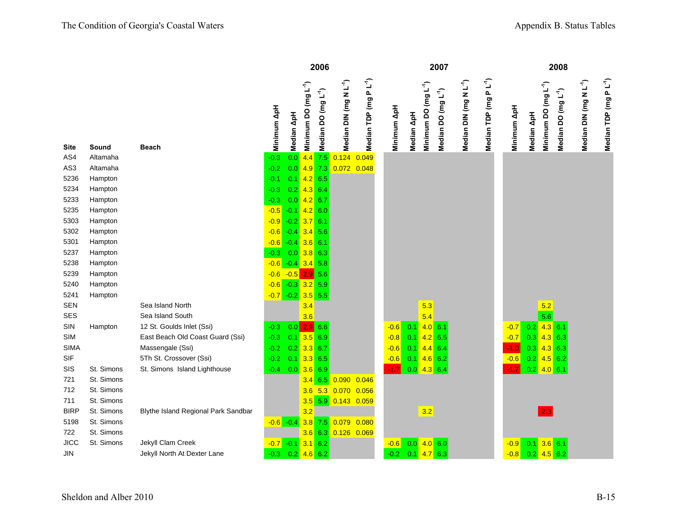|                 |            |                                     |              |                           |                                  | 2006                                                        |                                    |                           |             |            |                                  | 2007                            |                                    |                                   |             |                                                | 2008                            |                                    |                                    |
|-----------------|------------|-------------------------------------|--------------|---------------------------|----------------------------------|-------------------------------------------------------------|------------------------------------|---------------------------|-------------|------------|----------------------------------|---------------------------------|------------------------------------|-----------------------------------|-------------|------------------------------------------------|---------------------------------|------------------------------------|------------------------------------|
| <b>Site</b>     | Sound      | <b>Beach</b>                        | Minimum ApH  | $\mathbf{A}$ pH<br>Median | Minimum DO (mg L <sup>-1</sup> ) | Median DO (mg L <sup>-1</sup> )                             | Median DIN (mg N L <sup>-1</sup> ) | $PL^4)$<br>Median TDP (mg | Minimum ApH | Median ApH | Minimum DO (mg L <sup>-1</sup> ) | Median DO (mg L <sup>-1</sup> ) | Median DIN (mg N L <sup>-1</sup> ) | Median TDP (mg PL <sup>-1</sup> ) | Minimum ApH | Minimum DO (mg L <sup>-1</sup> )<br>Median ApH | Median DO (mg L <sup>-1</sup> ) | Median DIN (mg N L <sup>-1</sup> ) | Median TDP (mg P L <sup>-1</sup> ) |
| AS4             | Altamaha   |                                     | $-0.3$       | 0.0                       |                                  | $4.4$ 7.5                                                   | 0.124                              | 0.049                     |             |            |                                  |                                 |                                    |                                   |             |                                                |                                 |                                    |                                    |
| AS <sub>3</sub> | Altamaha   |                                     | $-0.2$       | 0.0                       |                                  | $4.9$ 7.3                                                   | 0.072 0.048                        |                           |             |            |                                  |                                 |                                    |                                   |             |                                                |                                 |                                    |                                    |
| 5236            | Hampton    |                                     | $-0.1$       | 0.1                       |                                  | $4.2$ 6.5                                                   |                                    |                           |             |            |                                  |                                 |                                    |                                   |             |                                                |                                 |                                    |                                    |
| 5234            | Hampton    |                                     | $-0.3$       | 0.2                       | 4.366.4                          |                                                             |                                    |                           |             |            |                                  |                                 |                                    |                                   |             |                                                |                                 |                                    |                                    |
| 5233            | Hampton    |                                     | $-0.3$       | 0.0                       | $4.2$ 6.7                        |                                                             |                                    |                           |             |            |                                  |                                 |                                    |                                   |             |                                                |                                 |                                    |                                    |
| 5235            | Hampton    |                                     | $-0.5$       | $-0.1$                    |                                  | $4.2$ 6.0                                                   |                                    |                           |             |            |                                  |                                 |                                    |                                   |             |                                                |                                 |                                    |                                    |
| 5303            | Hampton    |                                     | $-0.9$       | $-0.2$                    | 3.76.1                           |                                                             |                                    |                           |             |            |                                  |                                 |                                    |                                   |             |                                                |                                 |                                    |                                    |
| 5302            | Hampton    |                                     | $-0.6$       | $-0.4$                    |                                  | $3.4$ 5.6                                                   |                                    |                           |             |            |                                  |                                 |                                    |                                   |             |                                                |                                 |                                    |                                    |
| 5301            | Hampton    |                                     | $-0.6$       | $-0.4$                    | $3.6$ 6.1                        |                                                             |                                    |                           |             |            |                                  |                                 |                                    |                                   |             |                                                |                                 |                                    |                                    |
| 5237            | Hampton    |                                     | $-0.3$       |                           | $0.0$ 3.8 6.3                    |                                                             |                                    |                           |             |            |                                  |                                 |                                    |                                   |             |                                                |                                 |                                    |                                    |
| 5238            | Hampton    |                                     | $-0.6$       |                           | $-0.4$ 3.4 5.8                   |                                                             |                                    |                           |             |            |                                  |                                 |                                    |                                   |             |                                                |                                 |                                    |                                    |
| 5239            | Hampton    |                                     | $-0.6$       | $-0.5$ 2.9 5.6            |                                  |                                                             |                                    |                           |             |            |                                  |                                 |                                    |                                   |             |                                                |                                 |                                    |                                    |
| 5240            | Hampton    |                                     | $-0.6$       |                           | $-0.3$ 3.2 5.9                   |                                                             |                                    |                           |             |            |                                  |                                 |                                    |                                   |             |                                                |                                 |                                    |                                    |
| 5241            | Hampton    |                                     | $-0.7$       | $-0.2$ 3.5 5.5            |                                  |                                                             |                                    |                           |             |            |                                  |                                 |                                    |                                   |             |                                                |                                 |                                    |                                    |
| <b>SEN</b>      |            | Sea Island North                    |              |                           | 3.4                              |                                                             |                                    |                           |             |            | 5.3                              |                                 |                                    |                                   |             | 5.2                                            |                                 |                                    |                                    |
| SES             |            | Sea Island South                    |              |                           | 3.6                              |                                                             |                                    |                           |             |            | 5.4                              |                                 |                                    |                                   |             | 5.6                                            |                                 |                                    |                                    |
| SIN             | Hampton    | 12 St. Goulds Inlet (Ssi)           | $-0.3$       | 0.0                       |                                  | 2.9 6.6                                                     |                                    |                           | $-0.6$      | 0.1        | 4.0 6.1                          |                                 |                                    |                                   | $-0.7$      | 0.2                                            | $4.3$ 6.1                       |                                    |                                    |
| <b>SIM</b>      |            | East Beach Old Coast Guard (Ssi)    | $-0.3$       | 0.1                       |                                  | $3.5$ 6.9                                                   |                                    |                           | $-0.8$      | 0.1        | $4.2$ 6.5                        |                                 |                                    |                                   | $-0.7$      | $0.3$ 4.3 6.3                                  |                                 |                                    |                                    |
| <b>SIMA</b>     |            | Massengale (Ssi)                    | $-0.2$       |                           | $0.2$ 3.3 6.7                    |                                                             |                                    |                           | $-0.6$      | 0.1        | $4.4 \ 6.4$                      |                                 |                                    |                                   | $-1.0$      | $0.3$ 4.3 6.3                                  |                                 |                                    |                                    |
| <b>SIF</b>      |            | 5Th St. Crossover (Ssi)             | $-0.2$       | 0.1                       |                                  | $3.3$ 6.5                                                   |                                    |                           | $-0.6$      | 0.1        | $4.6$ 6.2                        |                                 |                                    |                                   | $-0.6$      | $0.2$ 4.5 6.2                                  |                                 |                                    |                                    |
| SIS             | St. Simons | St. Simons Island Lighthouse        | $-0.4$       |                           | $0.0$ 3.6 6.9                    |                                                             |                                    |                           | $-1.7$      | 0.0        | $4.3$ 6.4                        |                                 |                                    |                                   | $-1.7$      | $0.2$ 4.0 6.1                                  |                                 |                                    |                                    |
| 721             | St. Simons |                                     |              |                           |                                  | $3.4 \ 6.5$                                                 | $0.090$ $0.046$                    |                           |             |            |                                  |                                 |                                    |                                   |             |                                                |                                 |                                    |                                    |
| 712             | St. Simons |                                     |              |                           |                                  |                                                             | 3.6 5.3 0.070 0.056                |                           |             |            |                                  |                                 |                                    |                                   |             |                                                |                                 |                                    |                                    |
| 711             | St. Simons |                                     |              |                           |                                  | $3.5$ 5.9                                                   | 0.143 0.059                        |                           |             |            |                                  |                                 |                                    |                                   |             |                                                |                                 |                                    |                                    |
| <b>BIRP</b>     | St. Simons | Blythe Island Regional Park Sandbar |              |                           | 3.2                              |                                                             |                                    |                           |             |            | 3.2                              |                                 |                                    |                                   |             | 2.3                                            |                                 |                                    |                                    |
| 5198            | St. Simons |                                     | $-0.6 - 0.4$ |                           |                                  | $\begin{array}{ c c c }\n \hline\n 3.8 & 7.5\n \end{array}$ | 0.079 0.080                        |                           |             |            |                                  |                                 |                                    |                                   |             |                                                |                                 |                                    |                                    |
| 722             | St. Simons |                                     |              |                           |                                  | $3.6$ 6.3                                                   | 0.126 0.069                        |                           |             |            |                                  |                                 |                                    |                                   |             |                                                |                                 |                                    |                                    |
| <b>JICC</b>     | St. Simons | Jekyll Clam Creek                   | $-0.7$       | $-0.1$                    |                                  | $3.1 \ 6.2$                                                 |                                    |                           | $-0.6$      | 0.0        | 4.0 6.0                          |                                 |                                    |                                   | $-0.9$      | $0.1$ 3.6 6.1                                  |                                 |                                    |                                    |
| <b>JIN</b>      |            | Jekyll North At Dexter Lane         | $-0.3$       | 0.2                       |                                  | $4.6$ 6.2                                                   |                                    |                           | $-0.2$      | 0.1        | 4.76.3                           |                                 |                                    |                                   | $-0.8$      | $0.2$ 4.5 6.2                                  |                                 |                                    |                                    |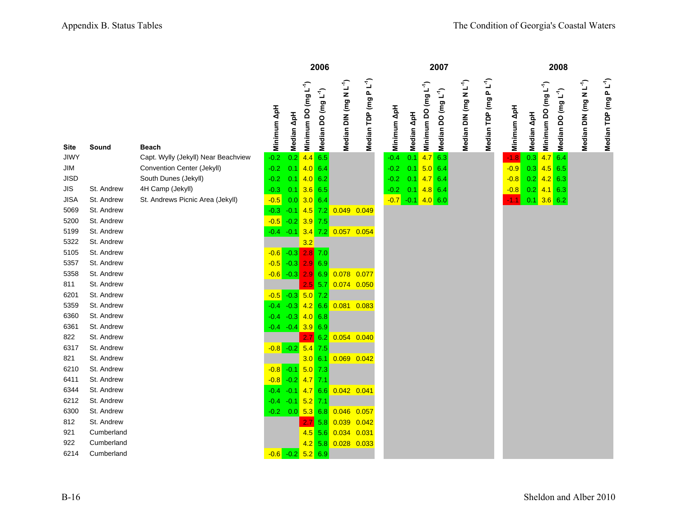|             |                          |                                     |                       |                     |                                  | 2006                            |                                    |                                   |             |                   |                                  | 2007                            |                                    |                      |             |            | 2008                                                                |                                    |                                    |
|-------------|--------------------------|-------------------------------------|-----------------------|---------------------|----------------------------------|---------------------------------|------------------------------------|-----------------------------------|-------------|-------------------|----------------------------------|---------------------------------|------------------------------------|----------------------|-------------|------------|---------------------------------------------------------------------|------------------------------------|------------------------------------|
| <b>Site</b> | Sound                    | <b>Beach</b>                        | Minimum ApH           | Median ApH          | Minimum DO (mg L <sup>-1</sup> ) | Median DO (mg L <sup>-1</sup> ) | Median DIN (mg N L <sup>-1</sup> ) | Median TDP (mg PL <sup>-1</sup> ) | Minimum ApH | <b>Median ApH</b> | Minimum DO (mg L <sup>-1</sup> ) | Median DO (mg L <sup>-1</sup> ) | Median DIN (mg N L <sup>-1</sup> ) | Median TDP (mg PL-1) | Minimum ApH | Median ApH | Minimum DO (mg L <sup>-1</sup> )<br>Median DO (mg L <sup>-1</sup> ) | Median DIN (mg N L <sup>-1</sup> ) | Median TDP (mg P L <sup>-1</sup> ) |
| <b>JIWY</b> |                          | Capt. Wylly (Jekyll) Near Beachview | $-0.2$                | 0.2                 | $4.4$ 6.5                        |                                 |                                    |                                   | $-0.4$      | 0.1               | 4.76.3                           |                                 |                                    |                      | $-1.8$      | 0.3        | 4.76.4                                                              |                                    |                                    |
| JIM         |                          | Convention Center (Jekyll)          | $-0.2$                | 0.1                 | 4.06.4                           |                                 |                                    |                                   | $-0.2$      | 0.1               | 5.0 6.4                          |                                 |                                    |                      | $-0.9$      | 0.3        | $4.5$ 6.5                                                           |                                    |                                    |
| JISD        |                          | South Dunes (Jekyll)                | $-0.2$                | 0.1                 | $4.0\ 6.2$                       |                                 |                                    |                                   | $-0.2$      | 0.1               | 4.76.4                           |                                 |                                    |                      | $-0.8$      |            | $0.2$ 4.2 6.3                                                       |                                    |                                    |
| JIS         | St. Andrew               | 4H Camp (Jekyll)                    | $-0.3$                | 0.1                 | $3.6$ 6.5                        |                                 |                                    |                                   | $-0.2$      | 0.1               | $4.8$ 6.4                        |                                 |                                    |                      | $-0.8$      |            | $0.2$ 4.1 6.3                                                       |                                    |                                    |
| <b>JISA</b> | St. Andrew               | St. Andrews Picnic Area (Jekyll)    | $-0.5$                | 0.0                 | $3.0\ 6.4$                       |                                 |                                    |                                   | $-0.7$      |                   | $-0.1$ 4.0 6.0                   |                                 |                                    |                      | $-1.1$      |            | $0.1$ 3.6 6.2                                                       |                                    |                                    |
| 5069        | St. Andrew               |                                     | $-0.3$                | $-0.1$              |                                  | $4.5$ 7.2                       | 0.049 0.049                        |                                   |             |                   |                                  |                                 |                                    |                      |             |            |                                                                     |                                    |                                    |
| 5200        | St. Andrew               |                                     | $-0.5$                | $-0.2$              | $3.9$ 7.5                        |                                 |                                    |                                   |             |                   |                                  |                                 |                                    |                      |             |            |                                                                     |                                    |                                    |
| 5199        | St. Andrew               |                                     | $-0.4 -0.1$           |                     |                                  |                                 | $3.4$ 7.2 0.057 0.054              |                                   |             |                   |                                  |                                 |                                    |                      |             |            |                                                                     |                                    |                                    |
| 5322        | St. Andrew               |                                     |                       |                     | 3.2                              |                                 |                                    |                                   |             |                   |                                  |                                 |                                    |                      |             |            |                                                                     |                                    |                                    |
| 5105        | St. Andrew               |                                     | $-0.6$                | $-0.3$              | $2.8$ 7.0                        |                                 |                                    |                                   |             |                   |                                  |                                 |                                    |                      |             |            |                                                                     |                                    |                                    |
| 5357        | St. Andrew               |                                     | $-0.5$                | $-0.3$              | 2.9 6.9                          |                                 |                                    |                                   |             |                   |                                  |                                 |                                    |                      |             |            |                                                                     |                                    |                                    |
| 5358        | St. Andrew               |                                     | $-0.6 - 0.3$          |                     |                                  | 2.9 6.9                         | 0.078 0.077                        |                                   |             |                   |                                  |                                 |                                    |                      |             |            |                                                                     |                                    |                                    |
| 811         | St. Andrew               |                                     |                       |                     |                                  | $2.5$ 5.7                       | 0.074 0.050                        |                                   |             |                   |                                  |                                 |                                    |                      |             |            |                                                                     |                                    |                                    |
| 6201        | St. Andrew               |                                     | $-0.5 - 0.3$          |                     | $5.0$ 7.2                        |                                 |                                    |                                   |             |                   |                                  |                                 |                                    |                      |             |            |                                                                     |                                    |                                    |
| 5359        | St. Andrew               |                                     | $-0.4$                | $-0.3$              |                                  | $4.2$ 6.6                       | 0.081 0.083                        |                                   |             |                   |                                  |                                 |                                    |                      |             |            |                                                                     |                                    |                                    |
| 6360        | St. Andrew               |                                     | $-0.4$                | $-0.3$ 4.0 6.8      |                                  |                                 |                                    |                                   |             |                   |                                  |                                 |                                    |                      |             |            |                                                                     |                                    |                                    |
| 6361        | St. Andrew               |                                     |                       | $-0.4 -0.4$ 3.9 6.9 |                                  |                                 |                                    |                                   |             |                   |                                  |                                 |                                    |                      |             |            |                                                                     |                                    |                                    |
| 822         | St. Andrew               |                                     |                       |                     |                                  | $2.7\,$ 6.2                     | 0.054 0.040                        |                                   |             |                   |                                  |                                 |                                    |                      |             |            |                                                                     |                                    |                                    |
| 6317<br>821 | St. Andrew<br>St. Andrew |                                     | $-0.8 - 0.2$          |                     | $5.4$ 7.5<br>3.0 6.1             |                                 |                                    |                                   |             |                   |                                  |                                 |                                    |                      |             |            |                                                                     |                                    |                                    |
| 6210        | St. Andrew               |                                     | $-0.8$                | $-0.1$              | $5.0$ 7.3                        |                                 | $0.069$ $0.042$                    |                                   |             |                   |                                  |                                 |                                    |                      |             |            |                                                                     |                                    |                                    |
| 6411        | St. Andrew               |                                     | $-0.8$                | $-0.2$              | $4.7$ 7.1                        |                                 |                                    |                                   |             |                   |                                  |                                 |                                    |                      |             |            |                                                                     |                                    |                                    |
| 6344        | St. Andrew               |                                     | $-0.4$                | $-0.1$              |                                  | 4.766                           | $0.042$ 0.041                      |                                   |             |                   |                                  |                                 |                                    |                      |             |            |                                                                     |                                    |                                    |
| 6212        | St. Andrew               |                                     | $-0.4$                | $-0.1$              | $5.2$ 7.1                        |                                 |                                    |                                   |             |                   |                                  |                                 |                                    |                      |             |            |                                                                     |                                    |                                    |
| 6300        | St. Andrew               |                                     |                       | $-0.2$ 0.0 5.3 6.8  |                                  |                                 | 0.046                              | 0.057                             |             |                   |                                  |                                 |                                    |                      |             |            |                                                                     |                                    |                                    |
| 812         | St. Andrew               |                                     |                       |                     | 2.7                              | 5.8                             | 0.039                              | 0.042                             |             |                   |                                  |                                 |                                    |                      |             |            |                                                                     |                                    |                                    |
| 921         | Cumberland               |                                     |                       |                     | 4.5                              | 5.6                             | 0.034 0.031                        |                                   |             |                   |                                  |                                 |                                    |                      |             |            |                                                                     |                                    |                                    |
| 922         | Cumberland               |                                     |                       |                     |                                  | $4.2 \ 5.8$                     | 0.028 0.033                        |                                   |             |                   |                                  |                                 |                                    |                      |             |            |                                                                     |                                    |                                    |
| 6214        | Cumberland               |                                     | $-0.6 -0.2 -5.2 -6.9$ |                     |                                  |                                 |                                    |                                   |             |                   |                                  |                                 |                                    |                      |             |            |                                                                     |                                    |                                    |
|             |                          |                                     |                       |                     |                                  |                                 |                                    |                                   |             |                   |                                  |                                 |                                    |                      |             |            |                                                                     |                                    |                                    |